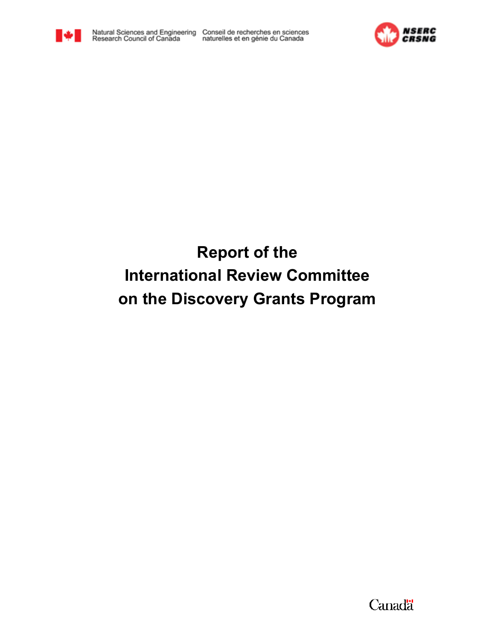



# **Report of the International Review Committee on the Discovery Grants Program**

Canadä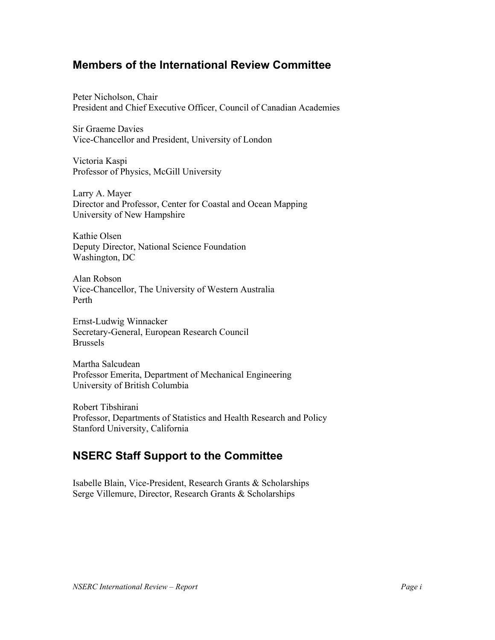## **Members of the International Review Committee**

Peter Nicholson, Chair President and Chief Executive Officer, Council of Canadian Academies

Sir Graeme Davies Vice-Chancellor and President, University of London

Victoria Kaspi Professor of Physics, McGill University

Larry A. Mayer Director and Professor, Center for Coastal and Ocean Mapping University of New Hampshire

Kathie Olsen Deputy Director, National Science Foundation Washington, DC

Alan Robson Vice-Chancellor, The University of Western Australia Perth

Ernst-Ludwig Winnacker Secretary-General, European Research Council Brussels

Martha Salcudean Professor Emerita, Department of Mechanical Engineering University of British Columbia

Robert Tibshirani Professor, Departments of Statistics and Health Research and Policy Stanford University, California

## **NSERC Staff Support to the Committee**

Isabelle Blain, Vice-President, Research Grants & Scholarships Serge Villemure, Director, Research Grants & Scholarships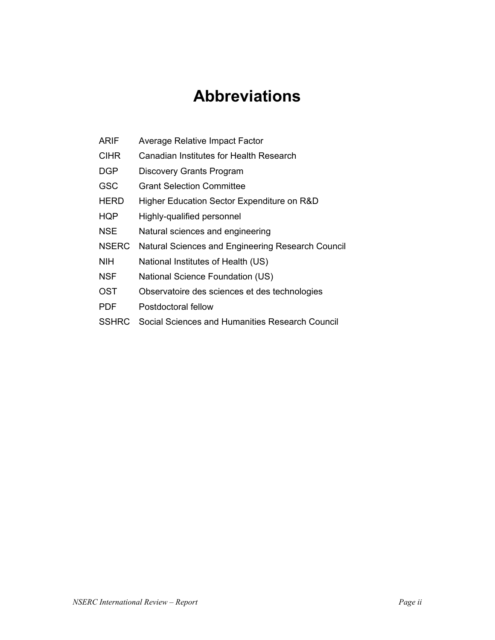# **Abbreviations**

- ARIF Average Relative Impact Factor
- CIHR Canadian Institutes for Health Research
- DGP Discovery Grants Program
- GSC Grant Selection Committee
- HERD Higher Education Sector Expenditure on R&D
- HQP Highly-qualified personnel
- NSE Natural sciences and engineering
- NSERC Natural Sciences and Engineering Research Council
- NIH National Institutes of Health (US)
- NSF National Science Foundation (US)
- OST Observatoire des sciences et des technologies
- PDF Postdoctoral fellow
- SSHRC Social Sciences and Humanities Research Council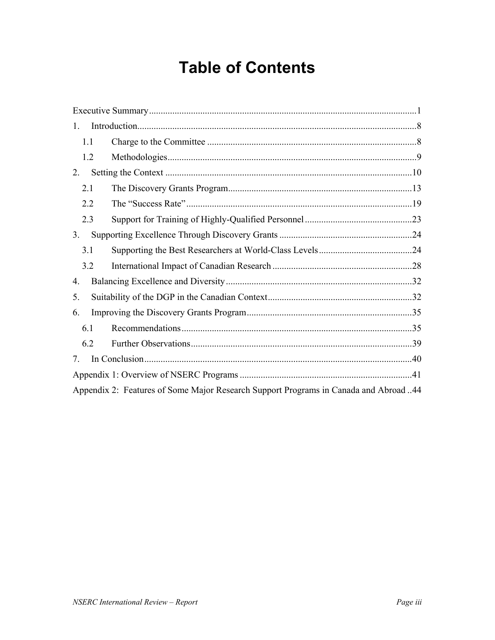# **Table of Contents**

| 1.             |                                                                                      |  |
|----------------|--------------------------------------------------------------------------------------|--|
| 1.1            |                                                                                      |  |
| 1.2            |                                                                                      |  |
| 2.             |                                                                                      |  |
| 2.1            |                                                                                      |  |
| 2.2            |                                                                                      |  |
| 2.3            |                                                                                      |  |
| 3 <sub>1</sub> |                                                                                      |  |
| 3.1            |                                                                                      |  |
| 3.2            |                                                                                      |  |
| 4.             |                                                                                      |  |
| 5.             |                                                                                      |  |
| 6.             |                                                                                      |  |
| 6.1            |                                                                                      |  |
| 6.2            |                                                                                      |  |
| 7.             |                                                                                      |  |
|                |                                                                                      |  |
|                | Appendix 2: Features of Some Major Research Support Programs in Canada and Abroad 44 |  |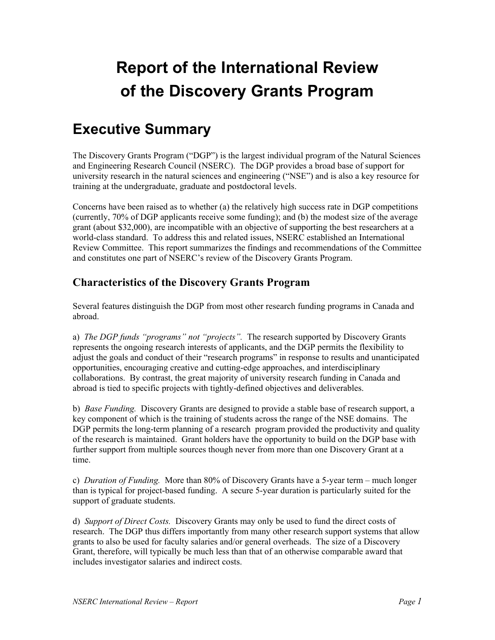# **Report of the International Review of the Discovery Grants Program**

# **Executive Summary**

The Discovery Grants Program ("DGP") is the largest individual program of the Natural Sciences and Engineering Research Council (NSERC). The DGP provides a broad base of support for university research in the natural sciences and engineering ("NSE") and is also a key resource for training at the undergraduate, graduate and postdoctoral levels.

Concerns have been raised as to whether (a) the relatively high success rate in DGP competitions (currently, 70% of DGP applicants receive some funding); and (b) the modest size of the average grant (about \$32,000), are incompatible with an objective of supporting the best researchers at a world-class standard. To address this and related issues, NSERC established an International Review Committee. This report summarizes the findings and recommendations of the Committee and constitutes one part of NSERC's review of the Discovery Grants Program.

## **Characteristics of the Discovery Grants Program**

Several features distinguish the DGP from most other research funding programs in Canada and abroad.

a) *The DGP funds "programs" not "projects".* The research supported by Discovery Grants represents the ongoing research interests of applicants, and the DGP permits the flexibility to adjust the goals and conduct of their "research programs" in response to results and unanticipated opportunities, encouraging creative and cutting-edge approaches, and interdisciplinary collaborations. By contrast, the great majority of university research funding in Canada and abroad is tied to specific projects with tightly-defined objectives and deliverables.

b) *Base Funding.* Discovery Grants are designed to provide a stable base of research support, a key component of which is the training of students across the range of the NSE domains. The DGP permits the long-term planning of a research program provided the productivity and quality of the research is maintained. Grant holders have the opportunity to build on the DGP base with further support from multiple sources though never from more than one Discovery Grant at a time.

c) *Duration of Funding.*More than 80% of Discovery Grants have a 5-year term – much longer than is typical for project-based funding. A secure 5-year duration is particularly suited for the support of graduate students.

d) *Support of Direct Costs.* Discovery Grants may only be used to fund the direct costs of research. The DGP thus differs importantly from many other research support systems that allow grants to also be used for faculty salaries and/or general overheads. The size of a Discovery Grant, therefore, will typically be much less than that of an otherwise comparable award that includes investigator salaries and indirect costs.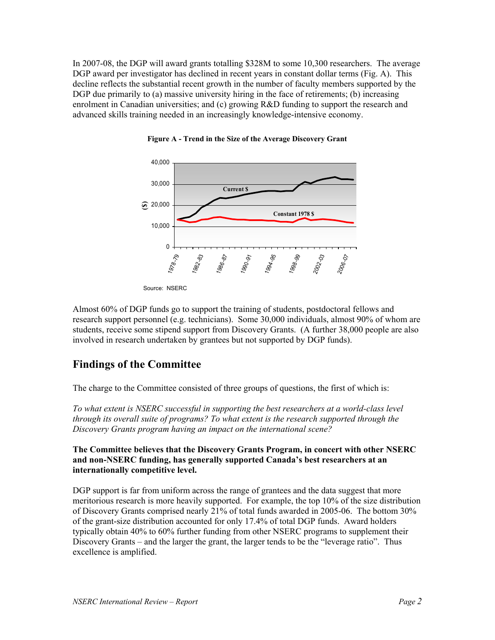In 2007-08, the DGP will award grants totalling \$328M to some 10,300 researchers. The average DGP award per investigator has declined in recent years in constant dollar terms (Fig. A). This decline reflects the substantial recent growth in the number of faculty members supported by the DGP due primarily to (a) massive university hiring in the face of retirements; (b) increasing enrolment in Canadian universities; and (c) growing R&D funding to support the research and advanced skills training needed in an increasingly knowledge-intensive economy.



**Figure A - Trend in the Size of the Average Discovery Grant**

Source: NSERC

Almost 60% of DGP funds go to support the training of students, postdoctoral fellows and research support personnel (e.g. technicians). Some 30,000 individuals, almost 90% of whom are students, receive some stipend support from Discovery Grants. (A further 38,000 people are also involved in research undertaken by grantees but not supported by DGP funds).

## **Findings of the Committee**

The charge to the Committee consisted of three groups of questions, the first of which is:

*To what extent is NSERC successful in supporting the best researchers at a world-class level through its overall suite of programs? To what extent is the research supported through the Discovery Grants program having an impact on the international scene?* 

**The Committee believes that the Discovery Grants Program, in concert with other NSERC and non-NSERC funding, has generally supported Canada's best researchers at an internationally competitive level.**

DGP support is far from uniform across the range of grantees and the data suggest that more meritorious research is more heavily supported. For example, the top 10% of the size distribution of Discovery Grants comprised nearly 21% of total funds awarded in 2005-06. The bottom 30% of the grant-size distribution accounted for only 17.4% of total DGP funds. Award holders typically obtain 40% to 60% further funding from other NSERC programs to supplement their Discovery Grants – and the larger the grant, the larger tends to be the "leverage ratio". Thus excellence is amplified.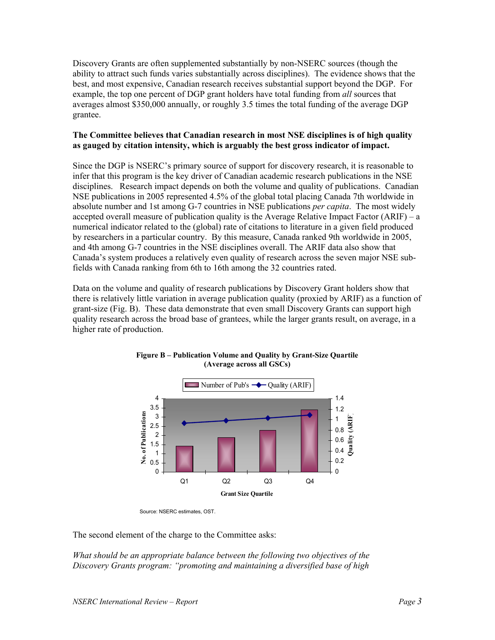Discovery Grants are often supplemented substantially by non-NSERC sources (though the ability to attract such funds varies substantially across disciplines). The evidence shows that the best, and most expensive, Canadian research receives substantial support beyond the DGP. For example, the top one percent of DGP grant holders have total funding from *all* sources that averages almost \$350,000 annually, or roughly 3.5 times the total funding of the average DGP grantee.

#### **The Committee believes that Canadian research in most NSE disciplines is of high quality as gauged by citation intensity, which is arguably the best gross indicator of impact.**

Since the DGP is NSERC's primary source of support for discovery research, it is reasonable to infer that this program is the key driver of Canadian academic research publications in the NSE disciplines. Research impact depends on both the volume and quality of publications. Canadian NSE publications in 2005 represented 4.5% of the global total placing Canada 7th worldwide in absolute number and 1st among G-7 countries in NSE publications *per capita*. The most widely accepted overall measure of publication quality is the Average Relative Impact Factor (ARIF) – a numerical indicator related to the (global) rate of citations to literature in a given field produced by researchers in a particular country. By this measure, Canada ranked 9th worldwide in 2005, and 4th among G-7 countries in the NSE disciplines overall. The ARIF data also show that Canada's system produces a relatively even quality of research across the seven major NSE subfields with Canada ranking from 6th to 16th among the 32 countries rated.

Data on the volume and quality of research publications by Discovery Grant holders show that there is relatively little variation in average publication quality (proxied by ARIF) as a function of grant-size (Fig. B). These data demonstrate that even small Discovery Grants can support high quality research across the broad base of grantees, while the larger grants result, on average, in a higher rate of production.



**Figure B – Publication Volume and Quality by Grant-Size Quartile (Average across all GSCs)**

Source: NSERC estimates, OST.

The second element of the charge to the Committee asks:

*What should be an appropriate balance between the following two objectives of the Discovery Grants program: "promoting and maintaining a diversified base of high*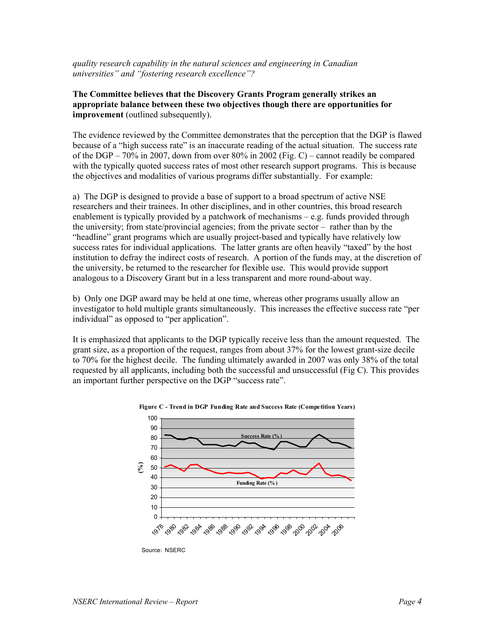*quality research capability in the natural sciences and engineering in Canadian universities" and "fostering research excellence"?* 

#### **The Committee believes that the Discovery Grants Program generally strikes an appropriate balance between these two objectives though there are opportunities for improvement** (outlined subsequently).

The evidence reviewed by the Committee demonstrates that the perception that the DGP is flawed because of a "high success rate" is an inaccurate reading of the actual situation. The success rate of the DGP – 70% in 2007, down from over 80% in 2002 (Fig. C) – cannot readily be compared with the typically quoted success rates of most other research support programs. This is because the objectives and modalities of various programs differ substantially. For example:

a) The DGP is designed to provide a base of support to a broad spectrum of active NSE researchers and their trainees. In other disciplines, and in other countries, this broad research enablement is typically provided by a patchwork of mechanisms – e.g. funds provided through the university; from state/provincial agencies; from the private sector – rather than by the "headline" grant programs which are usually project-based and typically have relatively low success rates for individual applications. The latter grants are often heavily "taxed" by the host institution to defray the indirect costs of research. A portion of the funds may, at the discretion of the university, be returned to the researcher for flexible use. This would provide support analogous to a Discovery Grant but in a less transparent and more round-about way.

b) Only one DGP award may be held at one time, whereas other programs usually allow an investigator to hold multiple grants simultaneously. This increases the effective success rate "per individual" as opposed to "per application".

It is emphasized that applicants to the DGP typically receive less than the amount requested. The grant size, as a proportion of the request, ranges from about 37% for the lowest grant-size decile to 70% for the highest decile. The funding ultimately awarded in 2007 was only 38% of the total requested by all applicants, including both the successful and unsuccessful (Fig C). This provides an important further perspective on the DGP "success rate".





Source: NSERC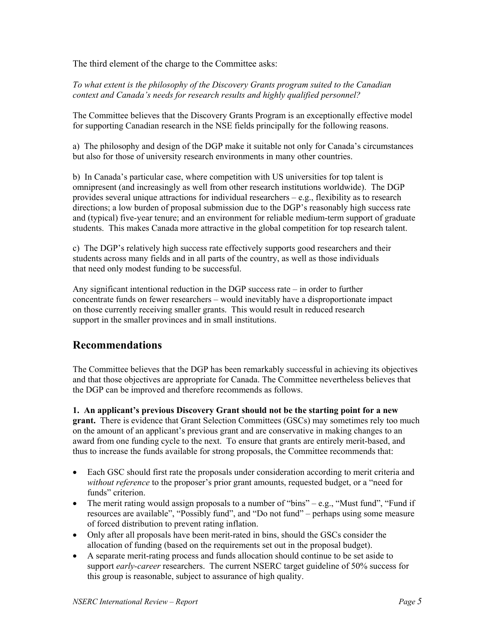The third element of the charge to the Committee asks:

*To what extent is the philosophy of the Discovery Grants program suited to the Canadian context and Canada's needs for research results and highly qualified personnel?* 

The Committee believes that the Discovery Grants Program is an exceptionally effective model for supporting Canadian research in the NSE fields principally for the following reasons.

a) The philosophy and design of the DGP make it suitable not only for Canada's circumstances but also for those of university research environments in many other countries.

b) In Canada's particular case, where competition with US universities for top talent is omnipresent (and increasingly as well from other research institutions worldwide). The DGP provides several unique attractions for individual researchers – e.g., flexibility as to research directions; a low burden of proposal submission due to the DGP's reasonably high success rate and (typical) five-year tenure; and an environment for reliable medium-term support of graduate students. This makes Canada more attractive in the global competition for top research talent.

c) The DGP's relatively high success rate effectively supports good researchers and their students across many fields and in all parts of the country, as well as those individuals that need only modest funding to be successful.

Any significant intentional reduction in the DGP success rate – in order to further concentrate funds on fewer researchers – would inevitably have a disproportionate impact on those currently receiving smaller grants. This would result in reduced research support in the smaller provinces and in small institutions.

## **Recommendations**

The Committee believes that the DGP has been remarkably successful in achieving its objectives and that those objectives are appropriate for Canada. The Committee nevertheless believes that the DGP can be improved and therefore recommends as follows.

**1. An applicant's previous Discovery Grant should not be the starting point for a new grant.** There is evidence that Grant Selection Committees (GSCs) may sometimes rely too much on the amount of an applicant's previous grant and are conservative in making changes to an award from one funding cycle to the next. To ensure that grants are entirely merit-based, and thus to increase the funds available for strong proposals, the Committee recommends that:

- Each GSC should first rate the proposals under consideration according to merit criteria and *without reference* to the proposer's prior grant amounts, requested budget, or a "need for funds" criterion.
- The merit rating would assign proposals to a number of "bins" e.g., "Must fund", "Fund if resources are available", "Possibly fund", and "Do not fund" – perhaps using some measure of forced distribution to prevent rating inflation.
- Only after all proposals have been merit-rated in bins, should the GSCs consider the allocation of funding (based on the requirements set out in the proposal budget).
- A separate merit-rating process and funds allocation should continue to be set aside to support *early-career* researchers. The current NSERC target guideline of 50% success for this group is reasonable, subject to assurance of high quality.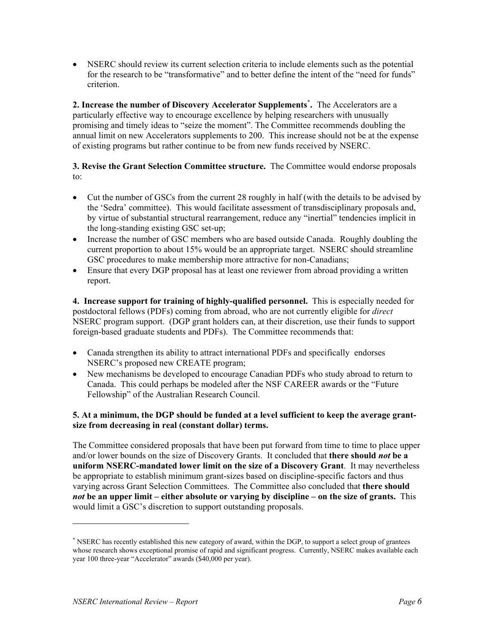• NSERC should review its current selection criteria to include elements such as the potential for the research to be "transformative" and to better define the intent of the "need for funds" criterion.

**2. Increase the number of Discovery Accelerator Supplements\* .** The Accelerators are a particularly effective way to encourage excellence by helping researchers with unusually promising and timely ideas to "seize the moment". The Committee recommends doubling the annual limit on new Accelerators supplements to 200. This increase should not be at the expense of existing programs but rather continue to be from new funds received by NSERC.

#### **3. Revise the Grant Selection Committee structure.** The Committee would endorse proposals to:

- Cut the number of GSCs from the current 28 roughly in half (with the details to be advised by the 'Sedra' committee). This would facilitate assessment of transdisciplinary proposals and, by virtue of substantial structural rearrangement, reduce any "inertial" tendencies implicit in the long-standing existing GSC set-up;
- Increase the number of GSC members who are based outside Canada. Roughly doubling the current proportion to about 15% would be an appropriate target. NSERC should streamline GSC procedures to make membership more attractive for non-Canadians;
- Ensure that every DGP proposal has at least one reviewer from abroad providing a written report.

**4. Increase support for training of highly-qualified personnel.** This is especially needed for postdoctoral fellows (PDFs) coming from abroad, who are not currently eligible for *direct* NSERC program support. (DGP grant holders can, at their discretion, use their funds to support foreign-based graduate students and PDFs). The Committee recommends that:

- Canada strengthen its ability to attract international PDFs and specifically endorses NSERC's proposed new CREATE program;
- New mechanisms be developed to encourage Canadian PDFs who study abroad to return to Canada. This could perhaps be modeled after the NSF CAREER awards or the "Future Fellowship" of the Australian Research Council.

#### **5. At a minimum, the DGP should be funded at a level sufficient to keep the average grantsize from decreasing in real (constant dollar) terms.**

The Committee considered proposals that have been put forward from time to time to place upper and/or lower bounds on the size of Discovery Grants. It concluded that **there should** *not* **be a uniform NSERC-mandated lower limit on the size of a Discovery Grant**. It may nevertheless be appropriate to establish minimum grant-sizes based on discipline-specific factors and thus varying across Grant Selection Committees. The Committee also concluded that **there should**  *not* **be an upper limit – either absolute or varying by discipline – on the size of grants.** This would limit a GSC's discretion to support outstanding proposals.

<sup>\*</sup> NSERC has recently established this new category of award, within the DGP, to support a select group of grantees whose research shows exceptional promise of rapid and significant progress. Currently, NSERC makes available each year 100 three-year "Accelerator" awards (\$40,000 per year).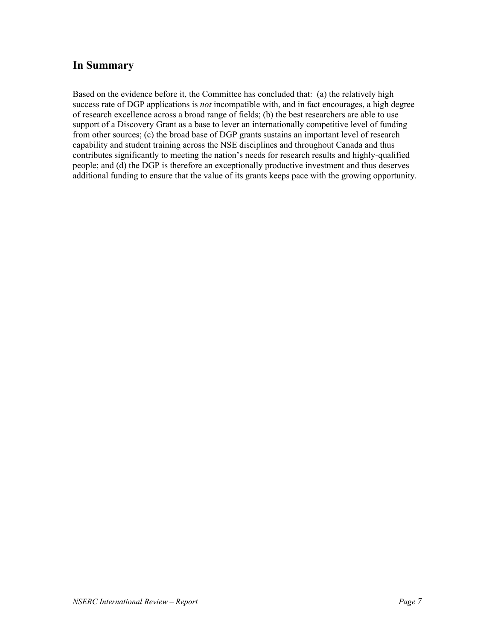## **In Summary**

Based on the evidence before it, the Committee has concluded that: (a) the relatively high success rate of DGP applications is *not* incompatible with, and in fact encourages, a high degree of research excellence across a broad range of fields; (b) the best researchers are able to use support of a Discovery Grant as a base to lever an internationally competitive level of funding from other sources; (c) the broad base of DGP grants sustains an important level of research capability and student training across the NSE disciplines and throughout Canada and thus contributes significantly to meeting the nation's needs for research results and highly-qualified people; and (d) the DGP is therefore an exceptionally productive investment and thus deserves additional funding to ensure that the value of its grants keeps pace with the growing opportunity.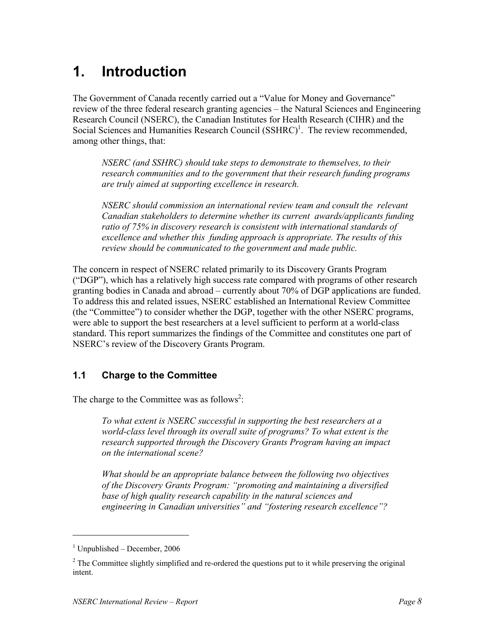# **1. Introduction**

The Government of Canada recently carried out a "Value for Money and Governance" review of the three federal research granting agencies – the Natural Sciences and Engineering Research Council (NSERC), the Canadian Institutes for Health Research (CIHR) and the Social Sciences and Humanities Research Council  $(SSHRC)^1$ . The review recommended, among other things, that:

*NSERC (and SSHRC) should take steps to demonstrate to themselves, to their research communities and to the government that their research funding programs are truly aimed at supporting excellence in research.* 

*NSERC should commission an international review team and consult the relevant Canadian stakeholders to determine whether its current awards/applicants funding ratio of 75% in discovery research is consistent with international standards of excellence and whether this funding approach is appropriate. The results of this review should be communicated to the government and made public.* 

The concern in respect of NSERC related primarily to its Discovery Grants Program ("DGP"), which has a relatively high success rate compared with programs of other research granting bodies in Canada and abroad – currently about 70% of DGP applications are funded. To address this and related issues, NSERC established an International Review Committee (the "Committee") to consider whether the DGP, together with the other NSERC programs, were able to support the best researchers at a level sufficient to perform at a world-class standard. This report summarizes the findings of the Committee and constitutes one part of NSERC's review of the Discovery Grants Program.

## **1.1 Charge to the Committee**

The charge to the Committee was as follows<sup>2</sup>:

*To what extent is NSERC successful in supporting the best researchers at a world-class level through its overall suite of programs? To what extent is the research supported through the Discovery Grants Program having an impact on the international scene?* 

*What should be an appropriate balance between the following two objectives of the Discovery Grants Program: "promoting and maintaining a diversified base of high quality research capability in the natural sciences and engineering in Canadian universities" and "fostering research excellence"?* 

-

<sup>1</sup> Unpublished – December, 2006

 $2^2$  The Committee slightly simplified and re-ordered the questions put to it while preserving the original intent.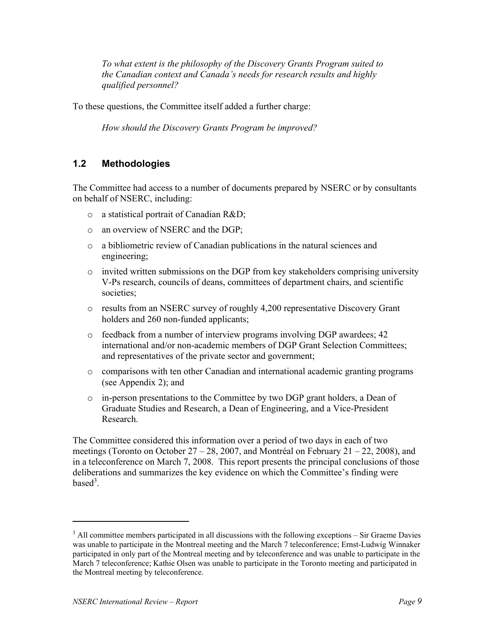*To what extent is the philosophy of the Discovery Grants Program suited to the Canadian context and Canada's needs for research results and highly qualified personnel?* 

To these questions, the Committee itself added a further charge:

*How should the Discovery Grants Program be improved?*

## **1.2 Methodologies**

The Committee had access to a number of documents prepared by NSERC or by consultants on behalf of NSERC, including:

- o a statistical portrait of Canadian R&D;
- o an overview of NSERC and the DGP;
- o a bibliometric review of Canadian publications in the natural sciences and engineering;
- $\circ$  invited written submissions on the DGP from key stakeholders comprising university V-Ps research, councils of deans, committees of department chairs, and scientific societies;
- o results from an NSERC survey of roughly 4,200 representative Discovery Grant holders and 260 non-funded applicants;
- o feedback from a number of interview programs involving DGP awardees; 42 international and/or non-academic members of DGP Grant Selection Committees; and representatives of the private sector and government;
- o comparisons with ten other Canadian and international academic granting programs (see Appendix 2); and
- $\circ$  in-person presentations to the Committee by two DGP grant holders, a Dean of Graduate Studies and Research, a Dean of Engineering, and a Vice-President Research.

The Committee considered this information over a period of two days in each of two meetings (Toronto on October  $27 - 28$ , 2007, and Montréal on February 21 – 22, 2008), and in a teleconference on March 7, 2008. This report presents the principal conclusions of those deliberations and summarizes the key evidence on which the Committee's finding were based $3$ .

-

 $3$  All committee members participated in all discussions with the following exceptions – Sir Graeme Davies was unable to participate in the Montreal meeting and the March 7 teleconference; Ernst-Ludwig Winnaker participated in only part of the Montreal meeting and by teleconference and was unable to participate in the March 7 teleconference; Kathie Olsen was unable to participate in the Toronto meeting and participated in the Montreal meeting by teleconference.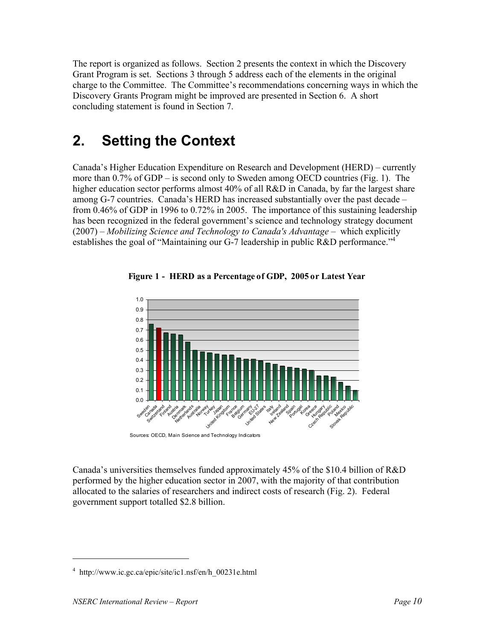The report is organized as follows. Section 2 presents the context in which the Discovery Grant Program is set. Sections 3 through 5 address each of the elements in the original charge to the Committee. The Committee's recommendations concerning ways in which the Discovery Grants Program might be improved are presented in Section 6. A short concluding statement is found in Section 7.

# **2. Setting the Context**

Canada's Higher Education Expenditure on Research and Development (HERD) – currently more than 0.7% of GDP – is second only to Sweden among OECD countries (Fig. 1). The higher education sector performs almost 40% of all R&D in Canada, by far the largest share among G-7 countries. Canada's HERD has increased substantially over the past decade – from 0.46% of GDP in 1996 to 0.72% in 2005. The importance of this sustaining leadership has been recognized in the federal government's science and technology strategy document (2007) – *Mobilizing Science and Technology to Canada's Advantage* – which explicitly establishes the goal of "Maintaining our G-7 leadership in public R&D performance."<sup>4</sup>





Canada's universities themselves funded approximately 45% of the \$10.4 billion of R&D performed by the higher education sector in 2007, with the majority of that contribution allocated to the salaries of researchers and indirect costs of research (Fig. 2). Federal government support totalled \$2.8 billion.

<sup>&</sup>lt;sup>4</sup> http://www.ic.gc.ca/epic/site/ic1.nsf/en/h\_00231e.html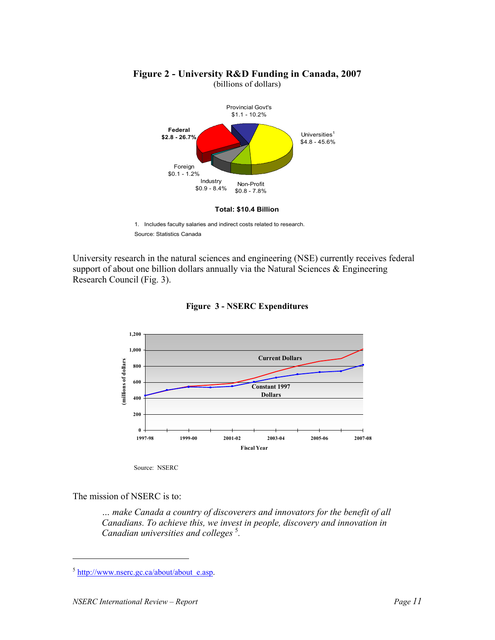

# **Figure 2 - University R&D Funding in Canada, 2007**

(billions of dollars)

1. Includes faculty salaries and indirect costs related to research.

Source: Statistics Canada

University research in the natural sciences and engineering (NSE) currently receives federal support of about one billion dollars annually via the Natural Sciences & Engineering Research Council (Fig. 3).



**Figure 3 - NSERC Expenditures**

Source: NSERC

The mission of NSERC is to:

*… make Canada a country of discoverers and innovators for the benefit of all Canadians. To achieve this, we invest in people, discovery and innovation in Canadian universities and colleges* <sup>5</sup> *.* 

 $5$  http://www.nserc.gc.ca/about/about\_e.asp.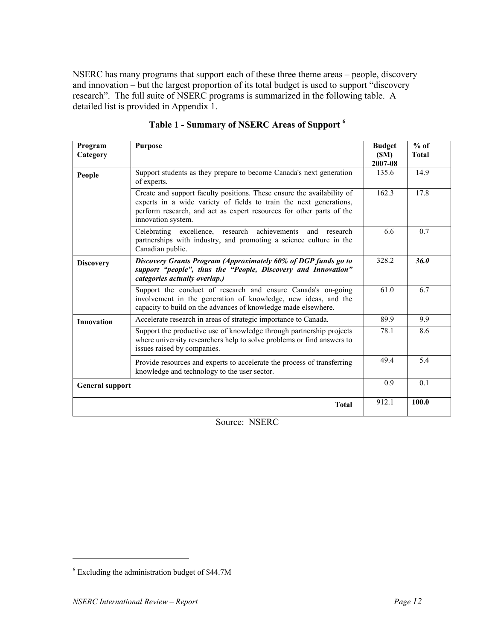NSERC has many programs that support each of these three theme areas – people, discovery and innovation – but the largest proportion of its total budget is used to support "discovery research". The full suite of NSERC programs is summarized in the following table. A detailed list is provided in Appendix 1.

| Program<br>Category    | <b>Purpose</b>                                                                                                                                                                                                                             | <b>Budget</b><br>(SM)<br>2007-08 | $%$ of<br><b>Total</b> |
|------------------------|--------------------------------------------------------------------------------------------------------------------------------------------------------------------------------------------------------------------------------------------|----------------------------------|------------------------|
| People                 | Support students as they prepare to become Canada's next generation<br>of experts.                                                                                                                                                         | 135.6                            | 14.9                   |
|                        | Create and support faculty positions. These ensure the availability of<br>experts in a wide variety of fields to train the next generations,<br>perform research, and act as expert resources for other parts of the<br>innovation system. | 162.3                            | 17.8                   |
|                        | Celebrating excellence, research achievements<br>research<br>and<br>partnerships with industry, and promoting a science culture in the<br>Canadian public.                                                                                 | 6.6                              | 0.7                    |
| <b>Discovery</b>       | Discovery Grants Program (Approximately 60% of DGP funds go to<br>support "people", thus the "People, Discovery and Innovation"<br>categories actually overlap.)                                                                           | 328.2                            | 36.0                   |
|                        | Support the conduct of research and ensure Canada's on-going<br>involvement in the generation of knowledge, new ideas, and the<br>capacity to build on the advances of knowledge made elsewhere.                                           | 61.0                             | 6.7                    |
| <b>Innovation</b>      | Accelerate research in areas of strategic importance to Canada.                                                                                                                                                                            | 89.9                             | 9.9                    |
|                        | Support the productive use of knowledge through partnership projects<br>where university researchers help to solve problems or find answers to<br>issues raised by companies.                                                              | 78.1                             | 8.6                    |
|                        | Provide resources and experts to accelerate the process of transferring<br>knowledge and technology to the user sector.                                                                                                                    | 49.4                             | 5.4                    |
| <b>General support</b> |                                                                                                                                                                                                                                            | 0.9                              | 0.1                    |
|                        | <b>Total</b>                                                                                                                                                                                                                               | 912.1                            | 100.0                  |

|  |  | Table 1 - Summary of NSERC Areas of Support 6 |
|--|--|-----------------------------------------------|
|  |  |                                               |

Source: NSERC

<sup>&</sup>lt;sup>6</sup> Excluding the administration budget of \$44.7M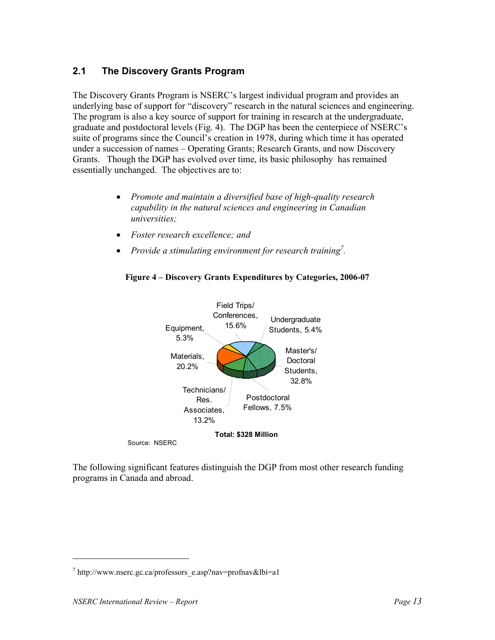## **2.1 The Discovery Grants Program**

The Discovery Grants Program is NSERC's largest individual program and provides an underlying base of support for "discovery" research in the natural sciences and engineering. The program is also a key source of support for training in research at the undergraduate, graduate and postdoctoral levels (Fig. 4). The DGP has been the centerpiece of NSERC's suite of programs since the Council's creation in 1978, during which time it has operated under a succession of names – Operating Grants; Research Grants, and now Discovery Grants. Though the DGP has evolved over time, its basic philosophy has remained essentially unchanged. The objectives are to:

- *Promote and maintain a diversified base of high-quality research capability in the natural sciences and engineering in Canadian universities;*
- *Foster research excellence; and*
- *Provide a stimulating environment for research training*<sup>7</sup>.



#### **Figure 4 – Discovery Grants Expenditures by Categories, 2006-07**

The following significant features distinguish the DGP from most other research funding programs in Canada and abroad.

 $^7$  http://www.nserc.gc.ca/professors\_e.asp?nav=profnav&lbi=a1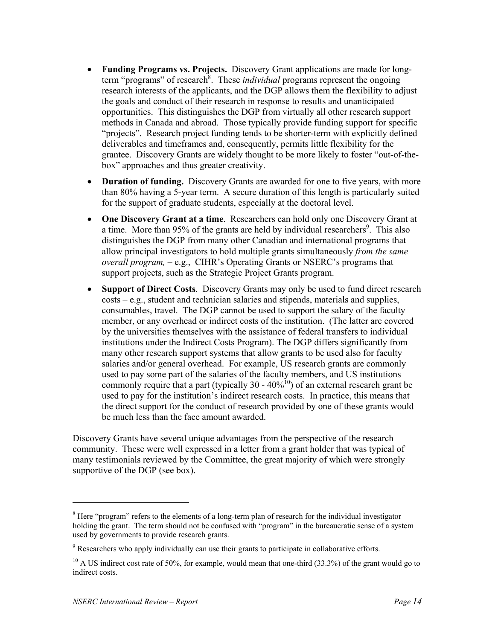- **Funding Programs vs. Projects.** Discovery Grant applications are made for longterm "programs" of research<sup>8</sup>. These *individual* programs represent the ongoing research interests of the applicants, and the DGP allows them the flexibility to adjust the goals and conduct of their research in response to results and unanticipated opportunities. This distinguishes the DGP from virtually all other research support methods in Canada and abroad. Those typically provide funding support for specific "projects". Research project funding tends to be shorter-term with explicitly defined deliverables and timeframes and, consequently, permits little flexibility for the grantee. Discovery Grants are widely thought to be more likely to foster "out-of-thebox" approaches and thus greater creativity.
- **Duration of funding.** Discovery Grants are awarded for one to five years, with more than 80% having a 5-year term. A secure duration of this length is particularly suited for the support of graduate students, especially at the doctoral level.
- **One Discovery Grant at a time**. Researchers can hold only one Discovery Grant at a time. More than 95% of the grants are held by individual researchers<sup>9</sup>. This also distinguishes the DGP from many other Canadian and international programs that allow principal investigators to hold multiple grants simultaneously *from the same overall program,* – e.g., CIHR's Operating Grants or NSERC's programs that support projects, such as the Strategic Project Grants program.
- **Support of Direct Costs**. Discovery Grants may only be used to fund direct research costs – e.g., student and technician salaries and stipends, materials and supplies, consumables, travel. The DGP cannot be used to support the salary of the faculty member, or any overhead or indirect costs of the institution. (The latter are covered by the universities themselves with the assistance of federal transfers to individual institutions under the Indirect Costs Program). The DGP differs significantly from many other research support systems that allow grants to be used also for faculty salaries and/or general overhead. For example, US research grants are commonly used to pay some part of the salaries of the faculty members, and US institutions commonly require that a part (typically 30 -  $40\%$ <sup>10</sup>) of an external research grant be used to pay for the institution's indirect research costs. In practice, this means that the direct support for the conduct of research provided by one of these grants would be much less than the face amount awarded.

Discovery Grants have several unique advantages from the perspective of the research community. These were well expressed in a letter from a grant holder that was typical of many testimonials reviewed by the Committee, the great majority of which were strongly supportive of the DGP (see box).

-

<sup>&</sup>lt;sup>8</sup> Here "program" refers to the elements of a long-term plan of research for the individual investigator holding the grant. The term should not be confused with "program" in the bureaucratic sense of a system used by governments to provide research grants.

<sup>&</sup>lt;sup>9</sup> Researchers who apply individually can use their grants to participate in collaborative efforts.

 $10$  A US indirect cost rate of 50%, for example, would mean that one-third (33.3%) of the grant would go to indirect costs.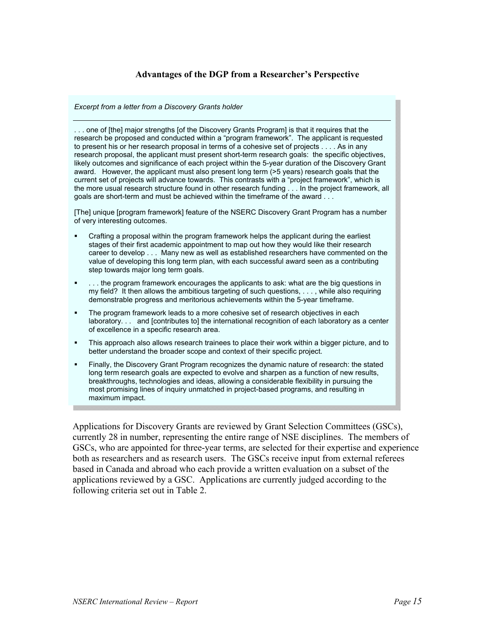#### **Advantages of the DGP from a Researcher's Perspective**

*Excerpt from a letter from a Discovery Grants holder* 

. . . one of [the] major strengths [of the Discovery Grants Program] is that it requires that the research be proposed and conducted within a "program framework". The applicant is requested to present his or her research proposal in terms of a cohesive set of projects . . . . As in any research proposal, the applicant must present short-term research goals: the specific objectives, likely outcomes and significance of each project within the 5-year duration of the Discovery Grant award. However, the applicant must also present long term (>5 years) research goals that the current set of projects will advance towards. This contrasts with a "project framework", which is the more usual research structure found in other research funding . . . In the project framework, all goals are short-term and must be achieved within the timeframe of the award . . .

[The] unique [program framework] feature of the NSERC Discovery Grant Program has a number of very interesting outcomes.

- Crafting a proposal within the program framework helps the applicant during the earliest stages of their first academic appointment to map out how they would like their research career to develop . . . Many new as well as established researchers have commented on the value of developing this long term plan, with each successful award seen as a contributing step towards major long term goals.
- . . . the program framework encourages the applicants to ask: what are the big questions in my field? It then allows the ambitious targeting of such questions, . . . , while also requiring demonstrable progress and meritorious achievements within the 5-year timeframe.
- The program framework leads to a more cohesive set of research objectives in each laboratory. . . and [contributes to] the international recognition of each laboratory as a center of excellence in a specific research area.
- This approach also allows research trainees to place their work within a bigger picture, and to better understand the broader scope and context of their specific project.
- Finally, the Discovery Grant Program recognizes the dynamic nature of research: the stated long term research goals are expected to evolve and sharpen as a function of new results, breakthroughs, technologies and ideas, allowing a considerable flexibility in pursuing the most promising lines of inquiry unmatched in project-based programs, and resulting in maximum impact.

Applications for Discovery Grants are reviewed by Grant Selection Committees (GSCs), currently 28 in number, representing the entire range of NSE disciplines. The members of GSCs, who are appointed for three-year terms, are selected for their expertise and experience both as researchers and as research users. The GSCs receive input from external referees based in Canada and abroad who each provide a written evaluation on a subset of the applications reviewed by a GSC. Applications are currently judged according to the following criteria set out in Table 2.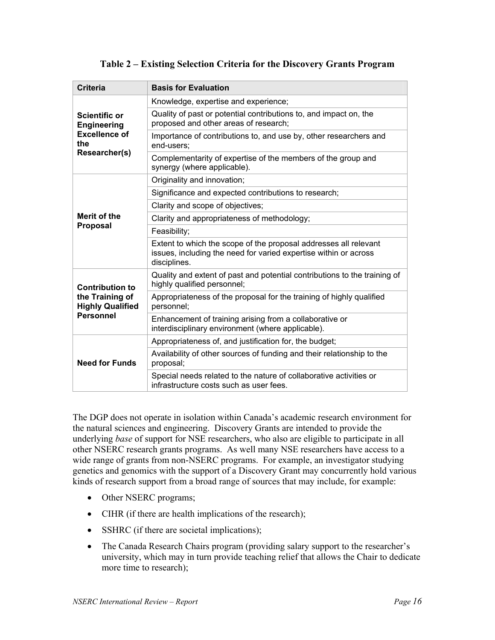#### **Table 2 – Existing Selection Criteria for the Discovery Grants Program**

| <b>Criteria</b>                            | <b>Basis for Evaluation</b>                                                                                                                          |
|--------------------------------------------|------------------------------------------------------------------------------------------------------------------------------------------------------|
|                                            | Knowledge, expertise and experience;                                                                                                                 |
| <b>Scientific or</b><br><b>Engineering</b> | Quality of past or potential contributions to, and impact on, the<br>proposed and other areas of research;                                           |
| <b>Excellence of</b><br>the                | Importance of contributions to, and use by, other researchers and<br>end-users:                                                                      |
| Researcher(s)                              | Complementarity of expertise of the members of the group and<br>synergy (where applicable).                                                          |
|                                            | Originality and innovation;                                                                                                                          |
|                                            | Significance and expected contributions to research;                                                                                                 |
|                                            | Clarity and scope of objectives;                                                                                                                     |
| Merit of the                               | Clarity and appropriateness of methodology;                                                                                                          |
| <b>Proposal</b>                            | Feasibility;                                                                                                                                         |
|                                            | Extent to which the scope of the proposal addresses all relevant<br>issues, including the need for varied expertise within or across<br>disciplines. |
| <b>Contribution to</b>                     | Quality and extent of past and potential contributions to the training of<br>highly qualified personnel;                                             |
| the Training of<br><b>Highly Qualified</b> | Appropriateness of the proposal for the training of highly qualified<br>personnel;                                                                   |
| <b>Personnel</b>                           | Enhancement of training arising from a collaborative or<br>interdisciplinary environment (where applicable).                                         |
|                                            | Appropriateness of, and justification for, the budget;                                                                                               |
| <b>Need for Funds</b>                      | Availability of other sources of funding and their relationship to the<br>proposal;                                                                  |
|                                            | Special needs related to the nature of collaborative activities or<br>infrastructure costs such as user fees.                                        |

The DGP does not operate in isolation within Canada's academic research environment for the natural sciences and engineering. Discovery Grants are intended to provide the underlying *base* of support for NSE researchers, who also are eligible to participate in all other NSERC research grants programs. As well many NSE researchers have access to a wide range of grants from non-NSERC programs. For example, an investigator studying genetics and genomics with the support of a Discovery Grant may concurrently hold various kinds of research support from a broad range of sources that may include, for example:

- Other NSERC programs;
- CIHR (if there are health implications of the research);
- SSHRC (if there are societal implications);
- The Canada Research Chairs program (providing salary support to the researcher's university, which may in turn provide teaching relief that allows the Chair to dedicate more time to research);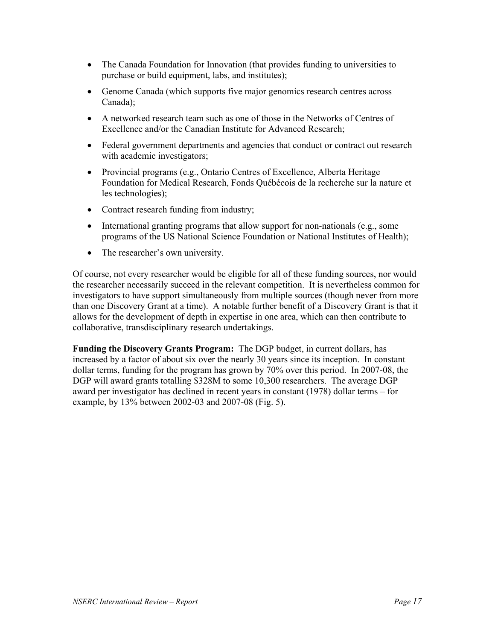- The Canada Foundation for Innovation (that provides funding to universities to purchase or build equipment, labs, and institutes);
- Genome Canada (which supports five major genomics research centres across Canada);
- A networked research team such as one of those in the Networks of Centres of Excellence and/or the Canadian Institute for Advanced Research;
- Federal government departments and agencies that conduct or contract out research with academic investigators;
- Provincial programs (e.g., Ontario Centres of Excellence, Alberta Heritage Foundation for Medical Research, Fonds Québécois de la recherche sur la nature et les technologies);
- Contract research funding from industry;
- International granting programs that allow support for non-nationals (e.g., some programs of the US National Science Foundation or National Institutes of Health);
- The researcher's own university.

Of course, not every researcher would be eligible for all of these funding sources, nor would the researcher necessarily succeed in the relevant competition. It is nevertheless common for investigators to have support simultaneously from multiple sources (though never from more than one Discovery Grant at a time). A notable further benefit of a Discovery Grant is that it allows for the development of depth in expertise in one area, which can then contribute to collaborative, transdisciplinary research undertakings.

**Funding the Discovery Grants Program:** The DGP budget, in current dollars, has increased by a factor of about six over the nearly 30 years since its inception. In constant dollar terms, funding for the program has grown by 70% over this period. In 2007-08, the DGP will award grants totalling \$328M to some 10,300 researchers. The average DGP award per investigator has declined in recent years in constant (1978) dollar terms – for example, by 13% between 2002-03 and 2007-08 (Fig. 5).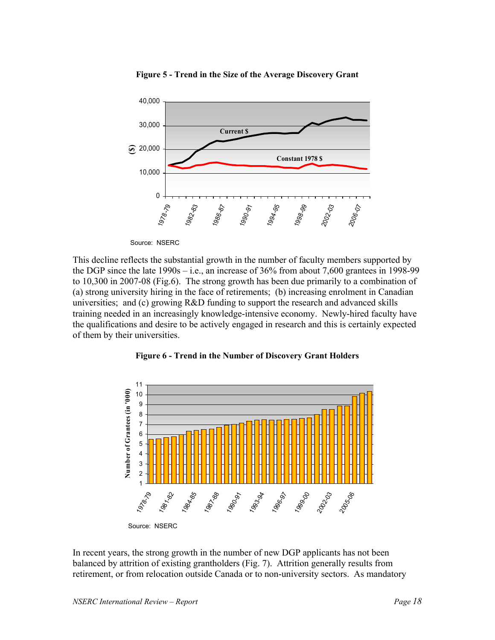

**Figure 5 - Trend in the Size of the Average Discovery Grant**

Source: NSERC

This decline reflects the substantial growth in the number of faculty members supported by the DGP since the late 1990s – i.e., an increase of 36% from about 7,600 grantees in 1998-99 to 10,300 in 2007-08 (Fig.6). The strong growth has been due primarily to a combination of (a) strong university hiring in the face of retirements; (b) increasing enrolment in Canadian universities; and (c) growing R&D funding to support the research and advanced skills training needed in an increasingly knowledge-intensive economy. Newly-hired faculty have the qualifications and desire to be actively engaged in research and this is certainly expected of them by their universities.



**Figure 6 - Trend in the Number of Discovery Grant Holders**

In recent years, the strong growth in the number of new DGP applicants has not been balanced by attrition of existing grantholders (Fig. 7). Attrition generally results from retirement, or from relocation outside Canada or to non-university sectors. As mandatory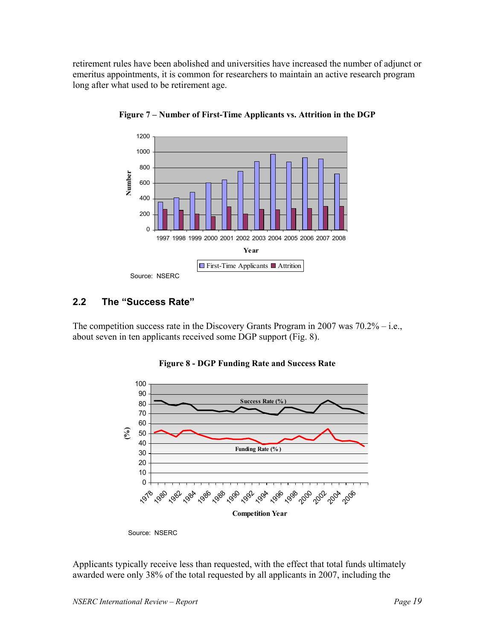retirement rules have been abolished and universities have increased the number of adjunct or emeritus appointments, it is common for researchers to maintain an active research program long after what used to be retirement age.



**Figure 7 – Number of First-Time Applicants vs. Attrition in the DGP**

## **2.2 The "Success Rate"**

The competition success rate in the Discovery Grants Program in 2007 was 70.2% – i.e., about seven in ten applicants received some DGP support (Fig. 8).



**Figure 8 - DGP Funding Rate and Success Rate**

Applicants typically receive less than requested, with the effect that total funds ultimately awarded were only 38% of the total requested by all applicants in 2007, including the

Source: NSERC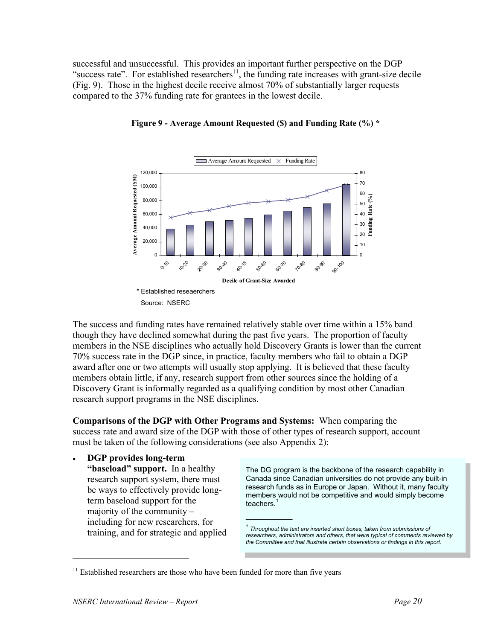successful and unsuccessful. This provides an important further perspective on the DGP "success rate". For established researchers $\frac{1}{1}$ , the funding rate increases with grant-size decile (Fig. 9). Those in the highest decile receive almost 70% of substantially larger requests compared to the 37% funding rate for grantees in the lowest decile.





The success and funding rates have remained relatively stable over time within a 15% band though they have declined somewhat during the past five years. The proportion of faculty members in the NSE disciplines who actually hold Discovery Grants is lower than the current 70% success rate in the DGP since, in practice, faculty members who fail to obtain a DGP award after one or two attempts will usually stop applying. It is believed that these faculty members obtain little, if any, research support from other sources since the holding of a Discovery Grant is informally regarded as a qualifying condition by most other Canadian research support programs in the NSE disciplines.

**Comparisons of the DGP with Other Programs and Systems:** When comparing the success rate and award size of the DGP with those of other types of research support, account must be taken of the following considerations (see also Appendix 2):

 $\mathcal{L}_\text{max}$  , where  $\mathcal{L}_\text{max}$ 

• **DGP provides long-term** 

**"baseload" support.** In a healthy research support system, there must be ways to effectively provide longterm baseload support for the majority of the community – including for new researchers, for training, and for strategic and applied

The DG program is the backbone of the research capability in Canada since Canadian universities do not provide any built-in research funds as in Europe or Japan. Without it, many faculty members would not be competitive and would simply become teachers.<sup>1</sup>

*<sup>1</sup> Throughout the text are inserted short boxes, taken from submissions of researchers, administrators and others, that were typical of comments reviewed by the Committee and that illustrate certain observations or findings in this report.* 

<sup>&</sup>lt;sup>11</sup> Established researchers are those who have been funded for more than five years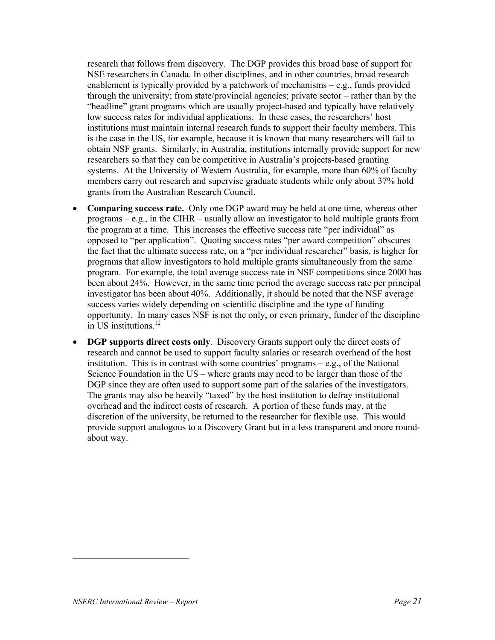research that follows from discovery. The DGP provides this broad base of support for NSE researchers in Canada. In other disciplines, and in other countries, broad research enablement is typically provided by a patchwork of mechanisms – e.g., funds provided through the university; from state/provincial agencies; private sector – rather than by the "headline" grant programs which are usually project-based and typically have relatively low success rates for individual applications. In these cases, the researchers' host institutions must maintain internal research funds to support their faculty members. This is the case in the US, for example, because it is known that many researchers will fail to obtain NSF grants. Similarly, in Australia, institutions internally provide support for new researchers so that they can be competitive in Australia's projects-based granting systems. At the University of Western Australia, for example, more than 60% of faculty members carry out research and supervise graduate students while only about 37% hold grants from the Australian Research Council.

- **Comparing success rate.** Only one DGP award may be held at one time, whereas other programs  $-e.g.,$  in the CIHR – usually allow an investigator to hold multiple grants from the program at a time. This increases the effective success rate "per individual" as opposed to "per application". Quoting success rates "per award competition" obscures the fact that the ultimate success rate, on a "per individual researcher" basis, is higher for programs that allow investigators to hold multiple grants simultaneously from the same program. For example, the total average success rate in NSF competitions since 2000 has been about 24%. However, in the same time period the average success rate per principal investigator has been about 40%. Additionally, it should be noted that the NSF average success varies widely depending on scientific discipline and the type of funding opportunity. In many cases NSF is not the only, or even primary, funder of the discipline in US institutions.12
- **DGP supports direct costs only**. Discovery Grants support only the direct costs of research and cannot be used to support faculty salaries or research overhead of the host institution. This is in contrast with some countries' programs  $-e.g.,$  of the National Science Foundation in the US – where grants may need to be larger than those of the DGP since they are often used to support some part of the salaries of the investigators. The grants may also be heavily "taxed" by the host institution to defray institutional overhead and the indirect costs of research. A portion of these funds may, at the discretion of the university, be returned to the researcher for flexible use. This would provide support analogous to a Discovery Grant but in a less transparent and more roundabout way.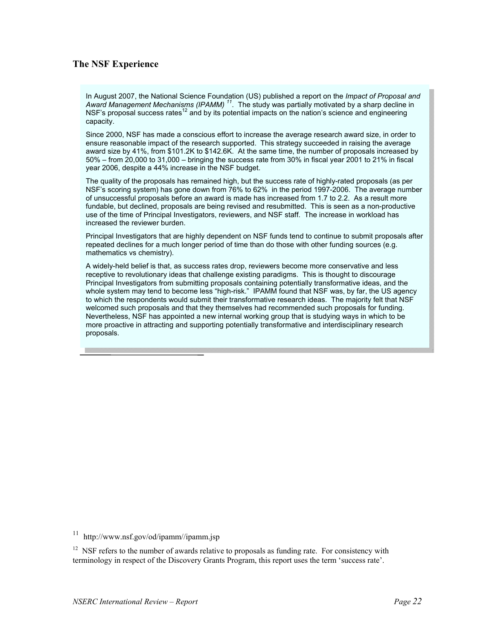#### **The NSF Experience**

In August 2007, the National Science Foundation (US) published a report on the *Impact of Proposal and Award Management Mechanisms (IPAMM) <sup>11</sup>*. The study was partially motivated by a sharp decline in NSF's proposal success rates<sup>12</sup> and by its potential impacts on the nation's science and engineering capacity.

Since 2000, NSF has made a conscious effort to increase the average research award size, in order to ensure reasonable impact of the research supported. This strategy succeeded in raising the average award size by 41%, from \$101.2K to \$142.6K. At the same time, the number of proposals increased by 50% – from 20,000 to 31,000 – bringing the success rate from 30% in fiscal year 2001 to 21% in fiscal year 2006, despite a 44% increase in the NSF budget.

The quality of the proposals has remained high, but the success rate of highly-rated proposals (as per NSF's scoring system) has gone down from 76% to 62% in the period 1997-2006. The average number of unsuccessful proposals before an award is made has increased from 1.7 to 2.2. As a result more fundable, but declined, proposals are being revised and resubmitted. This is seen as a non-productive use of the time of Principal Investigators, reviewers, and NSF staff. The increase in workload has increased the reviewer burden.

Principal Investigators that are highly dependent on NSF funds tend to continue to submit proposals after repeated declines for a much longer period of time than do those with other funding sources (e.g. mathematics vs chemistry).

A widely-held belief is that, as success rates drop, reviewers become more conservative and less receptive to revolutionary ideas that challenge existing paradigms. This is thought to discourage Principal Investigators from submitting proposals containing potentially transformative ideas, and the whole system may tend to become less "high-risk." IPAMM found that NSF was, by far, the US agency to which the respondents would submit their transformative research ideas. The majority felt that NSF welcomed such proposals and that they themselves had recommended such proposals for funding. Nevertheless, NSF has appointed a new internal working group that is studying ways in which to be more proactive in attracting and supporting potentially transformative and interdisciplinary research proposals.

11 http://www.nsf.gov/od/ipamm//ipamm.jsp

<sup>12</sup> NSF refers to the number of awards relative to proposals as funding rate. For consistency with terminology in respect of the Discovery Grants Program, this report uses the term 'success rate'.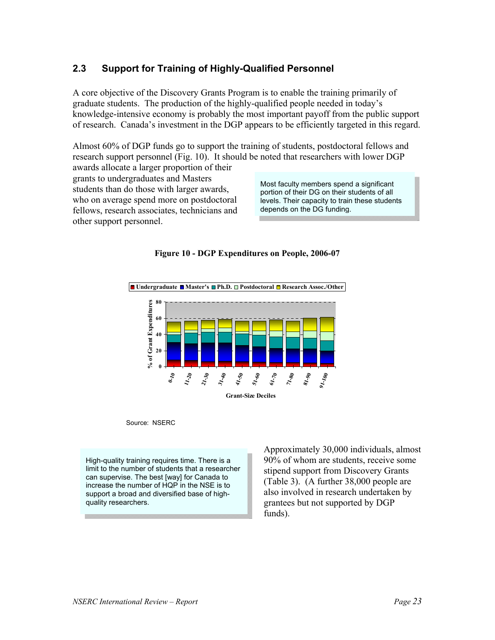## **2.3 Support for Training of Highly-Qualified Personnel**

A core objective of the Discovery Grants Program is to enable the training primarily of graduate students. The production of the highly-qualified people needed in today's knowledge-intensive economy is probably the most important payoff from the public support of research. Canada's investment in the DGP appears to be efficiently targeted in this regard.

Almost 60% of DGP funds go to support the training of students, postdoctoral fellows and research support personnel (Fig. 10). It should be noted that researchers with lower DGP

awards allocate a larger proportion of their grants to undergraduates and Masters students than do those with larger awards, who on average spend more on postdoctoral fellows, research associates, technicians and other support personnel.

Most faculty members spend a significant portion of their DG on their students of all levels. Their capacity to train these students depends on the DG funding.





Source: NSERC

High-quality training requires time. There is a limit to the number of students that a researcher can supervise. The best [way] for Canada to increase the number of HQP in the NSE is to support a broad and diversified base of highquality researchers.

Approximately 30,000 individuals, almost 90% of whom are students, receive some stipend support from Discovery Grants (Table 3). (A further 38,000 people are also involved in research undertaken by grantees but not supported by DGP funds).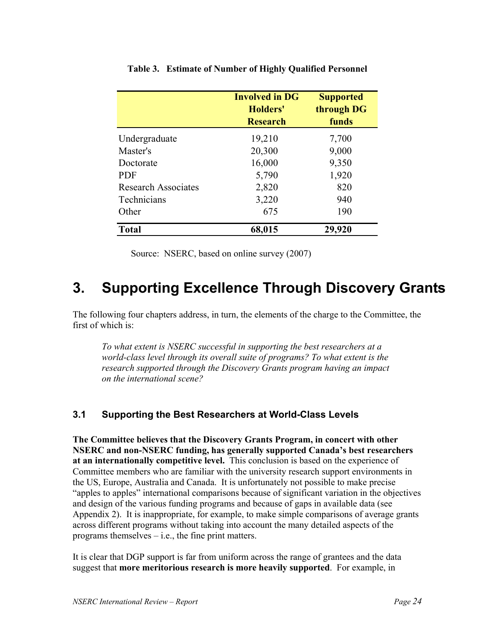|                            | <b>Involved in DG</b><br>Holders'<br><b>Research</b> | <b>Supported</b><br>through DG<br>funds |
|----------------------------|------------------------------------------------------|-----------------------------------------|
| Undergraduate              | 19,210                                               | 7,700                                   |
| Master's                   | 20,300                                               | 9,000                                   |
| Doctorate                  | 16,000                                               | 9,350                                   |
| <b>PDF</b>                 | 5,790                                                | 1,920                                   |
| <b>Research Associates</b> | 2,820                                                | 820                                     |
| Technicians                | 3,220                                                | 940                                     |
| Other                      | 675                                                  | 190                                     |
| <b>Total</b>               | 68,015                                               | 29,920                                  |

#### **Table 3. Estimate of Number of Highly Qualified Personnel**

Source: NSERC, based on online survey (2007)

# **3. Supporting Excellence Through Discovery Grants**

The following four chapters address, in turn, the elements of the charge to the Committee, the first of which is:

*To what extent is NSERC successful in supporting the best researchers at a world-class level through its overall suite of programs? To what extent is the research supported through the Discovery Grants program having an impact on the international scene?* 

#### **3.1 Supporting the Best Researchers at World-Class Levels**

**The Committee believes that the Discovery Grants Program, in concert with other NSERC and non-NSERC funding, has generally supported Canada's best researchers at an internationally competitive level.** This conclusion is based on the experience of Committee members who are familiar with the university research support environments in the US, Europe, Australia and Canada. It is unfortunately not possible to make precise "apples to apples" international comparisons because of significant variation in the objectives and design of the various funding programs and because of gaps in available data (see Appendix 2). It is inappropriate, for example, to make simple comparisons of average grants across different programs without taking into account the many detailed aspects of the programs themselves – i.e., the fine print matters.

It is clear that DGP support is far from uniform across the range of grantees and the data suggest that **more meritorious research is more heavily supported**. For example, in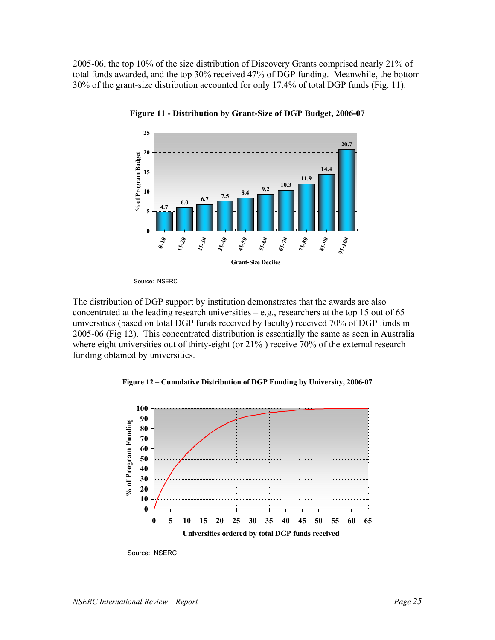2005-06, the top 10% of the size distribution of Discovery Grants comprised nearly 21% of total funds awarded, and the top 30% received 47% of DGP funding. Meanwhile, the bottom 30% of the grant-size distribution accounted for only 17.4% of total DGP funds (Fig. 11).



**Figure 11 - Distribution by Grant-Size of DGP Budget, 2006-07**

Source: NSERC

The distribution of DGP support by institution demonstrates that the awards are also concentrated at the leading research universities  $-e.g.,$  researchers at the top 15 out of 65 universities (based on total DGP funds received by faculty) received 70% of DGP funds in 2005-06 (Fig 12). This concentrated distribution is essentially the same as seen in Australia where eight universities out of thirty-eight (or 21% ) receive 70% of the external research funding obtained by universities.

**Figure 12 – Cumulative Distribution of DGP Funding by University, 2006-07**



Source: NSERC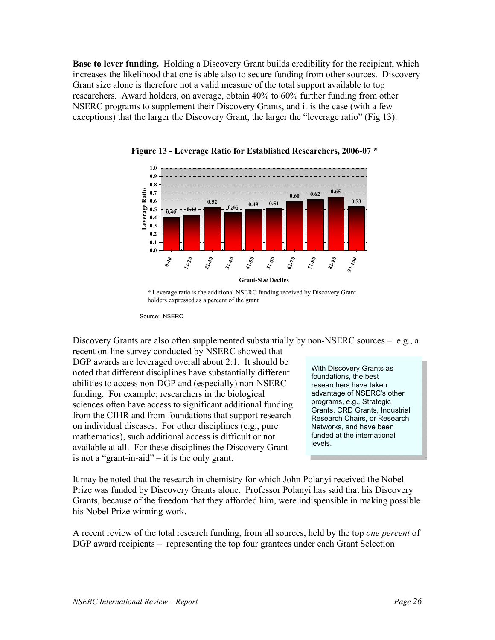**Base to lever funding.** Holding a Discovery Grant builds credibility for the recipient, which increases the likelihood that one is able also to secure funding from other sources. Discovery Grant size alone is therefore not a valid measure of the total support available to top researchers. Award holders, on average, obtain 40% to 60% further funding from other NSERC programs to supplement their Discovery Grants, and it is the case (with a few exceptions) that the larger the Discovery Grant, the larger the "leverage ratio" (Fig 13).





Discovery Grants are also often supplemented substantially by non-NSERC sources – e.g., a

recent on-line survey conducted by NSERC showed that DGP awards are leveraged overall about 2:1. It should be noted that different disciplines have substantially different abilities to access non-DGP and (especially) non-NSERC funding. For example; researchers in the biological sciences often have access to significant additional funding from the CIHR and from foundations that support research on individual diseases. For other disciplines (e.g., pure mathematics), such additional access is difficult or not available at all. For these disciplines the Discovery Grant is not a "grant-in-aid" – it is the only grant.

With Discovery Grants as foundations, the best researchers have taken advantage of NSERC's other programs, e.g., Strategic Grants, CRD Grants, Industrial Research Chairs, or Research Networks, and have been funded at the international levels.

It may be noted that the research in chemistry for which John Polanyi received the Nobel Prize was funded by Discovery Grants alone. Professor Polanyi has said that his Discovery Grants, because of the freedom that they afforded him, were indispensible in making possible his Nobel Prize winning work.

A recent review of the total research funding, from all sources, held by the top *one percent* of DGP award recipients – representing the top four grantees under each Grant Selection

<sup>\*</sup> Leverage ratio is the additional NSERC funding received by Discovery Grant holders expressed as a percent of the grant

Source: NSERC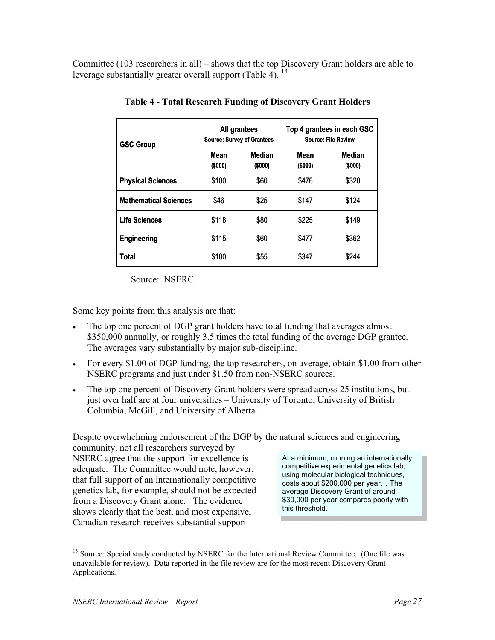Committee (103 researchers in all) – shows that the top Discovery Grant holders are able to leverage substantially greater overall support (Table 4).  $^{13}$ 

| <b>GSC Group</b>             | All grantees<br><b>Source: Survey of Grantees</b> |                          | Top 4 grantees in each GSC<br><b>Source: File Review</b> |                          |  |
|------------------------------|---------------------------------------------------|--------------------------|----------------------------------------------------------|--------------------------|--|
|                              | <b>Mean</b><br>(\$000)                            | <b>Median</b><br>(\$000) | Mean<br>(\$000)                                          | <b>Median</b><br>(\$000) |  |
| <b>Physical Sciences</b>     | \$100                                             | \$60                     | \$476                                                    | \$320                    |  |
| <b>Mathematical Sciences</b> | \$46                                              | \$25                     | \$147                                                    | \$124                    |  |
| <b>Life Sciences</b>         | \$118                                             | \$80                     | \$225                                                    | \$149                    |  |
| <b>Engineering</b>           | \$115                                             | \$60                     | \$477                                                    | \$362                    |  |
| <b>Total</b>                 | \$100                                             | \$55                     | \$347                                                    | \$244                    |  |

**Table 4 - Total Research Funding of Discovery Grant Holders** 

Source: NSERC

Some key points from this analysis are that:

- The top one percent of DGP grant holders have total funding that averages almost \$350,000 annually, or roughly 3.5 times the total funding of the average DGP grantee. The averages vary substantially by major sub-discipline.
- For every \$1.00 of DGP funding, the top researchers, on average, obtain \$1.00 from other NSERC programs and just under \$1.50 from non-NSERC sources.
- The top one percent of Discovery Grant holders were spread across 25 institutions, but just over half are at four universities – University of Toronto, University of British Columbia, McGill, and University of Alberta.

Despite overwhelming endorsement of the DGP by the natural sciences and engineering community, not all researchers surveyed by NSERC agree that the support for excellence is adequate. The Committee would note, however, that full support of an internationally competitive genetics lab, for example, should not be expected from a Discovery Grant alone. The evidence shows clearly that the best, and most expensive, Canadian research receives substantial support At a minimum, running an internationally competitive experimental genetics lab, using molecular biological techniques, costs about \$200,000 per year… The average Discovery Grant of around \$30,000 per year compares poorly with this threshold.

<sup>&</sup>lt;sup>13</sup> Source: Special study conducted by NSERC for the International Review Committee. (One file was unavailable for review). Data reported in the file review are for the most recent Discovery Grant Applications.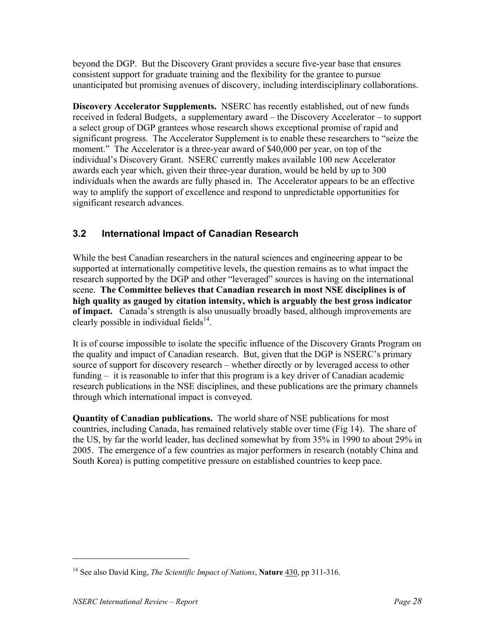beyond the DGP. But the Discovery Grant provides a secure five-year base that ensures consistent support for graduate training and the flexibility for the grantee to pursue unanticipated but promising avenues of discovery, including interdisciplinary collaborations.

**Discovery Accelerator Supplements.** NSERC has recently established, out of new funds received in federal Budgets, a supplementary award – the Discovery Accelerator – to support a select group of DGP grantees whose research shows exceptional promise of rapid and significant progress. The Accelerator Supplement is to enable these researchers to "seize the moment." The Accelerator is a three-year award of \$40,000 per year, on top of the individual's Discovery Grant. NSERC currently makes available 100 new Accelerator awards each year which, given their three-year duration, would be held by up to 300 individuals when the awards are fully phased in. The Accelerator appears to be an effective way to amplify the support of excellence and respond to unpredictable opportunities for significant research advances.

## **3.2 International Impact of Canadian Research**

While the best Canadian researchers in the natural sciences and engineering appear to be supported at internationally competitive levels, the question remains as to what impact the research supported by the DGP and other "leveraged" sources is having on the international scene. **The Committee believes that Canadian research in most NSE disciplines is of high quality as gauged by citation intensity, which is arguably the best gross indicator of impact.** Canada's strength is also unusually broadly based, although improvements are clearly possible in individual fields<sup>14</sup>.

It is of course impossible to isolate the specific influence of the Discovery Grants Program on the quality and impact of Canadian research. But, given that the DGP is NSERC's primary source of support for discovery research – whether directly or by leveraged access to other funding – it is reasonable to infer that this program is a key driver of Canadian academic research publications in the NSE disciplines, and these publications are the primary channels through which international impact is conveyed.

**Quantity of Canadian publications.** The world share of NSE publications for most countries, including Canada, has remained relatively stable over time (Fig 14). The share of the US, by far the world leader, has declined somewhat by from 35% in 1990 to about 29% in 2005. The emergence of a few countries as major performers in research (notably China and South Korea) is putting competitive pressure on established countries to keep pace.

-

<sup>14</sup> See also David King, *The Scientific Impact of Nations*, **Nature** 430, pp 311-316.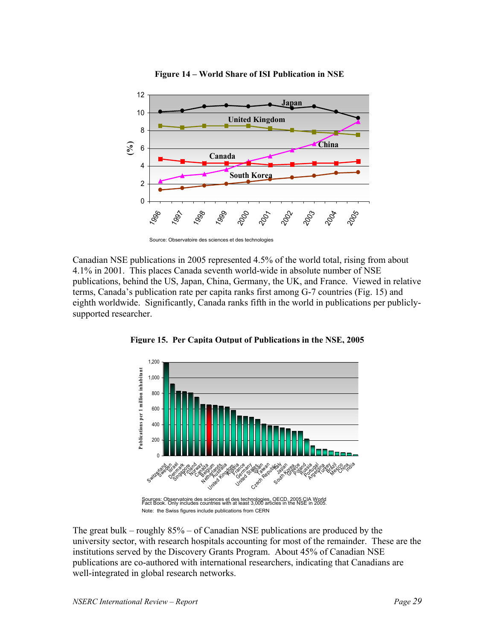

**Figure 14 – World Share of ISI Publication in NSE**

Source: Observatoire des sciences et des technologies

Canadian NSE publications in 2005 represented 4.5% of the world total, rising from about 4.1% in 2001. This places Canada seventh world-wide in absolute number of NSE publications, behind the US, Japan, China, Germany, the UK, and France. Viewed in relative terms, Canada's publication rate per capita ranks first among G-7 countries (Fig. 15) and eighth worldwide. Significantly, Canada ranks fifth in the world in publications per publiclysupported researcher.



**Figure 15. Per Capita Output of Publications in the NSE, 2005**

The great bulk – roughly 85% – of Canadian NSE publications are produced by the university sector, with research hospitals accounting for most of the remainder. These are the institutions served by the Discovery Grants Program. About 45% of Canadian NSE publications are co-authored with international researchers, indicating that Canadians are well-integrated in global research networks.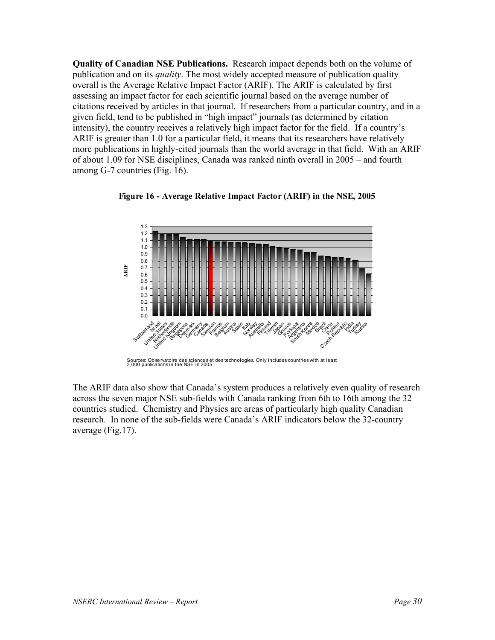**Quality of Canadian NSE Publications.** Research impact depends both on the volume of publication and on its *quality*. The most widely accepted measure of publication quality overall is the Average Relative Impact Factor (ARIF). The ARIF is calculated by first assessing an impact factor for each scientific journal based on the average number of citations received by articles in that journal. If researchers from a particular country, and in a given field, tend to be published in "high impact" journals (as determined by citation intensity), the country receives a relatively high impact factor for the field. If a country's ARIF is greater than 1.0 for a particular field, it means that its researchers have relatively more publications in highly-cited journals than the world average in that field. With an ARIF of about 1.09 for NSE disciplines, Canada was ranked ninth overall in 2005 – and fourth among G-7 countries (Fig. 16).





The ARIF data also show that Canada's system produces a relatively even quality of research across the seven major NSE sub-fields with Canada ranking from 6th to 16th among the 32 countries studied. Chemistry and Physics are areas of particularly high quality Canadian research. In none of the sub-fields were Canada's ARIF indicators below the 32-country average (Fig.17).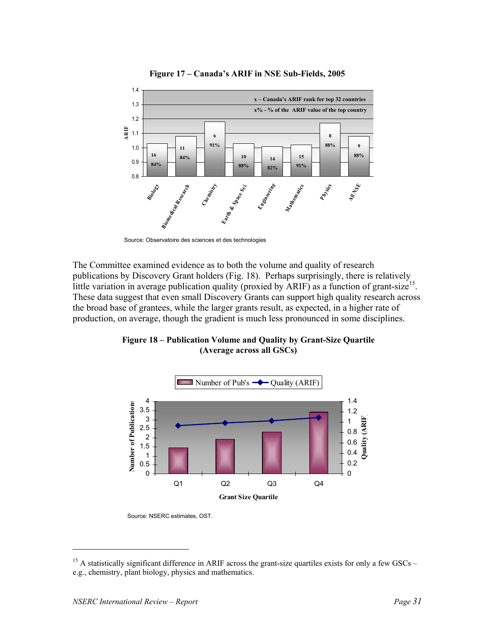

**Figure 17 – Canada's ARIF in NSE Sub-Fields, 2005**

The Committee examined evidence as to both the volume and quality of research publications by Discovery Grant holders (Fig. 18). Perhaps surprisingly, there is relatively little variation in average publication quality (proxied by ARIF) as a function of grant-size<sup>15</sup>. These data suggest that even small Discovery Grants can support high quality research across the broad base of grantees, while the larger grants result, as expected, in a higher rate of production, on average, though the gradient is much less pronounced in some disciplines.



**Figure 18 – Publication Volume and Quality by Grant-Size Quartile (Average across all GSCs)**

Source: NSERC estimates, OST.

Source: Observatoire des sciences et des technologies

<sup>&</sup>lt;sup>15</sup> A statistically significant difference in ARIF across the grant-size quartiles exists for only a few GSCs – e.g., chemistry, plant biology, physics and mathematics.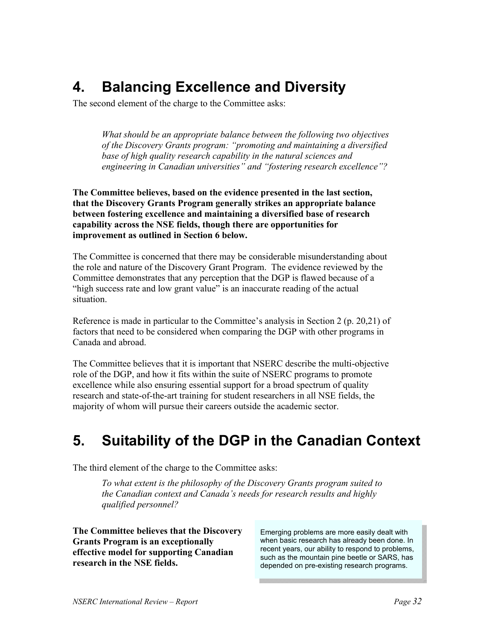# **4. Balancing Excellence and Diversity**

The second element of the charge to the Committee asks:

*What should be an appropriate balance between the following two objectives of the Discovery Grants program: "promoting and maintaining a diversified base of high quality research capability in the natural sciences and engineering in Canadian universities" and "fostering research excellence"?* 

**The Committee believes, based on the evidence presented in the last section, that the Discovery Grants Program generally strikes an appropriate balance between fostering excellence and maintaining a diversified base of research capability across the NSE fields, though there are opportunities for improvement as outlined in Section 6 below.** 

The Committee is concerned that there may be considerable misunderstanding about the role and nature of the Discovery Grant Program. The evidence reviewed by the Committee demonstrates that any perception that the DGP is flawed because of a "high success rate and low grant value" is an inaccurate reading of the actual situation.

Reference is made in particular to the Committee's analysis in Section 2 (p. 20,21) of factors that need to be considered when comparing the DGP with other programs in Canada and abroad.

The Committee believes that it is important that NSERC describe the multi-objective role of the DGP, and how it fits within the suite of NSERC programs to promote excellence while also ensuring essential support for a broad spectrum of quality research and state-of-the-art training for student researchers in all NSE fields, the majority of whom will pursue their careers outside the academic sector.

# **5. Suitability of the DGP in the Canadian Context**

The third element of the charge to the Committee asks:

*To what extent is the philosophy of the Discovery Grants program suited to the Canadian context and Canada's needs for research results and highly qualified personnel?* 

**The Committee believes that the Discovery Grants Program is an exceptionally effective model for supporting Canadian research in the NSE fields.**

Emerging problems are more easily dealt with when basic research has already been done. In recent years, our ability to respond to problems, such as the mountain pine beetle or SARS, has depended on pre-existing research programs.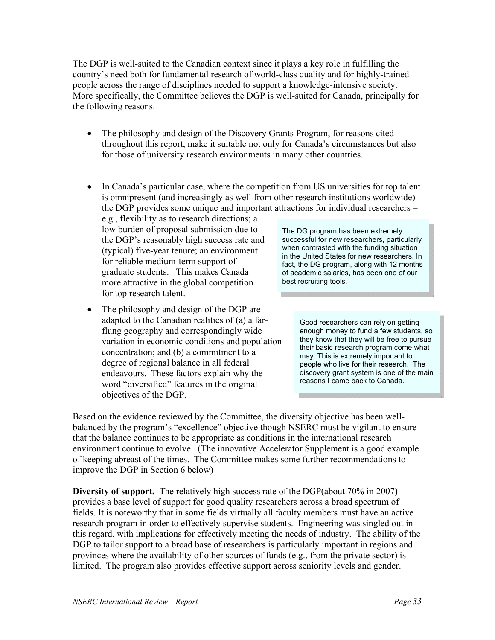The DGP is well-suited to the Canadian context since it plays a key role in fulfilling the country's need both for fundamental research of world-class quality and for highly-trained people across the range of disciplines needed to support a knowledge-intensive society. More specifically, the Committee believes the DGP is well-suited for Canada, principally for the following reasons.

- The philosophy and design of the Discovery Grants Program, for reasons cited throughout this report, make it suitable not only for Canada's circumstances but also for those of university research environments in many other countries.
- In Canada's particular case, where the competition from US universities for top talent is omnipresent (and increasingly as well from other research institutions worldwide) the DGP provides some unique and important attractions for individual researchers –

e.g., flexibility as to research directions; a low burden of proposal submission due to the DGP's reasonably high success rate and (typical) five-year tenure; an environment for reliable medium-term support of graduate students. This makes Canada more attractive in the global competition for top research talent.

The philosophy and design of the DGP are adapted to the Canadian realities of (a) a farflung geography and correspondingly wide variation in economic conditions and population concentration; and (b) a commitment to a degree of regional balance in all federal endeavours. These factors explain why the word "diversified" features in the original objectives of the DGP.

The DG program has been extremely successful for new researchers, particularly when contrasted with the funding situation in the United States for new researchers. In fact, the DG program, along with 12 months of academic salaries, has been one of our best recruiting tools.

> Good researchers can rely on getting enough money to fund a few students, so they know that they will be free to pursue their basic research program come what may. This is extremely important to people who live for their research. The discovery grant system is one of the main reasons I came back to Canada.

Based on the evidence reviewed by the Committee, the diversity objective has been wellbalanced by the program's "excellence" objective though NSERC must be vigilant to ensure that the balance continues to be appropriate as conditions in the international research environment continue to evolve. (The innovative Accelerator Supplement is a good example of keeping abreast of the times. The Committee makes some further recommendations to improve the DGP in Section 6 below)

**Diversity of support.** The relatively high success rate of the DGP(about 70% in 2007) provides a base level of support for good quality researchers across a broad spectrum of fields. It is noteworthy that in some fields virtually all faculty members must have an active research program in order to effectively supervise students. Engineering was singled out in this regard, with implications for effectively meeting the needs of industry. The ability of the DGP to tailor support to a broad base of researchers is particularly important in regions and provinces where the availability of other sources of funds (e.g., from the private sector) is limited. The program also provides effective support across seniority levels and gender.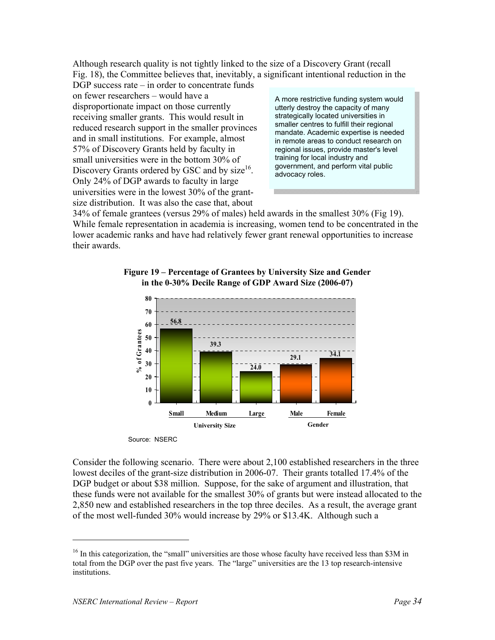Although research quality is not tightly linked to the size of a Discovery Grant (recall Fig. 18), the Committee believes that, inevitably, a significant intentional reduction in the

DGP success rate – in order to concentrate funds on fewer researchers – would have a disproportionate impact on those currently receiving smaller grants. This would result in reduced research support in the smaller provinces and in small institutions. For example, almost 57% of Discovery Grants held by faculty in small universities were in the bottom 30% of Discovery Grants ordered by GSC and by size<sup>16</sup>. Only 24% of DGP awards to faculty in large universities were in the lowest 30% of the grantsize distribution. It was also the case that, about

A more restrictive funding system would utterly destroy the capacity of many strategically located universities in smaller centres to fulfill their regional mandate. Academic expertise is needed in remote areas to conduct research on regional issues, provide master's level training for local industry and government, and perform vital public advocacy roles.

34% of female grantees (versus 29% of males) held awards in the smallest 30% (Fig 19). While female representation in academia is increasing, women tend to be concentrated in the lower academic ranks and have had relatively fewer grant renewal opportunities to increase their awards.





Source: NSERC

Consider the following scenario. There were about 2,100 established researchers in the three lowest deciles of the grant-size distribution in 2006-07. Their grants totalled 17.4% of the DGP budget or about \$38 million. Suppose, for the sake of argument and illustration, that these funds were not available for the smallest 30% of grants but were instead allocated to the 2,850 new and established researchers in the top three deciles. As a result, the average grant of the most well-funded 30% would increase by 29% or \$13.4K. Although such a

<sup>&</sup>lt;sup>16</sup> In this categorization, the "small" universities are those whose faculty have received less than \$3M in total from the DGP over the past five years. The "large" universities are the 13 top research-intensive institutions.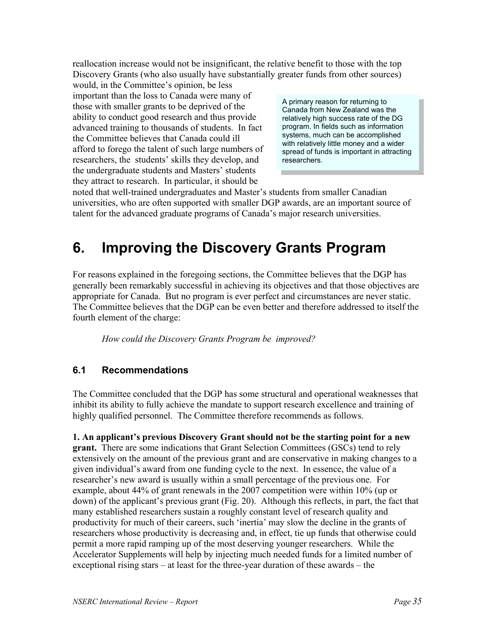reallocation increase would not be insignificant, the relative benefit to those with the top Discovery Grants (who also usually have substantially greater funds from other sources)

would, in the Committee's opinion, be less important than the loss to Canada were many of those with smaller grants to be deprived of the ability to conduct good research and thus provide advanced training to thousands of students. In fact the Committee believes that Canada could ill afford to forego the talent of such large numbers of researchers, the students' skills they develop, and the undergraduate students and Masters' students they attract to research. In particular, it should be

A primary reason for returning to Canada from New Zealand was the relatively high success rate of the DG program. In fields such as information systems, much can be accomplished with relatively little money and a wider spread of funds is important in attracting researchers.

noted that well-trained undergraduates and Master's students from smaller Canadian universities, who are often supported with smaller DGP awards, are an important source of talent for the advanced graduate programs of Canada's major research universities.

# **6. Improving the Discovery Grants Program**

For reasons explained in the foregoing sections, the Committee believes that the DGP has generally been remarkably successful in achieving its objectives and that those objectives are appropriate for Canada. But no program is ever perfect and circumstances are never static. The Committee believes that the DGP can be even better and therefore addressed to itself the fourth element of the charge:

*How could the Discovery Grants Program be improved?* 

## **6.1 Recommendations**

The Committee concluded that the DGP has some structural and operational weaknesses that inhibit its ability to fully achieve the mandate to support research excellence and training of highly qualified personnel. The Committee therefore recommends as follows.

**1. An applicant's previous Discovery Grant should not be the starting point for a new grant.** There are some indications that Grant Selection Committees (GSCs) tend to rely extensively on the amount of the previous grant and are conservative in making changes to a given individual's award from one funding cycle to the next. In essence, the value of a researcher's new award is usually within a small percentage of the previous one. For example, about 44% of grant renewals in the 2007 competition were within 10% (up or down) of the applicant's previous grant (Fig. 20). Although this reflects, in part, the fact that many established researchers sustain a roughly constant level of research quality and productivity for much of their careers, such 'inertia' may slow the decline in the grants of researchers whose productivity is decreasing and, in effect, tie up funds that otherwise could permit a more rapid ramping up of the most deserving younger researchers. While the Accelerator Supplements will help by injecting much needed funds for a limited number of exceptional rising stars – at least for the three-year duration of these awards – the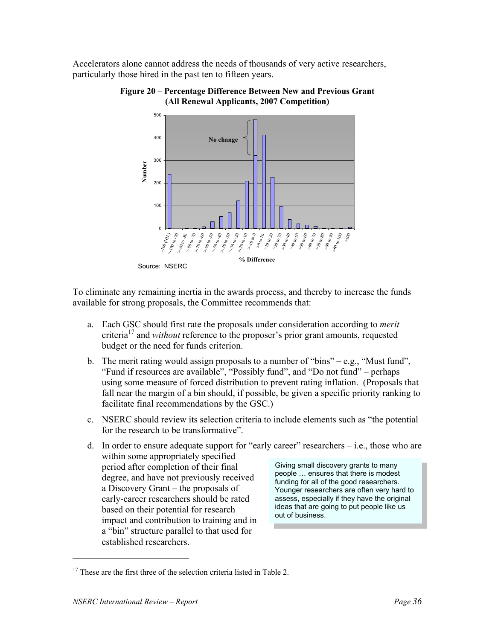Accelerators alone cannot address the needs of thousands of very active researchers, particularly those hired in the past ten to fifteen years.



**Figure 20 – Percentage Difference Between New and Previous Grant (All Renewal Applicants, 2007 Competition)**

To eliminate any remaining inertia in the awards process, and thereby to increase the funds available for strong proposals, the Committee recommends that:

- a. Each GSC should first rate the proposals under consideration according to *merit* criteria17 and *without* reference to the proposer's prior grant amounts, requested budget or the need for funds criterion.
- b. The merit rating would assign proposals to a number of "bins" e.g., "Must fund", "Fund if resources are available", "Possibly fund", and "Do not fund" – perhaps using some measure of forced distribution to prevent rating inflation. (Proposals that fall near the margin of a bin should, if possible, be given a specific priority ranking to facilitate final recommendations by the GSC.)
- c. NSERC should review its selection criteria to include elements such as "the potential for the research to be transformative".
- d. In order to ensure adequate support for "early career" researchers  $-$  i.e., those who are within some appropriately specified period after completion of their final degree, and have not previously received a Discovery Grant – the proposals of early-career researchers should be rated based on their potential for research impact and contribution to training and in a "bin" structure parallel to that used for established researchers. Giving small discovery grants to many people … ensures that there is modest funding for all of the good researchers. Younger researchers are often very hard to assess, especially if they have the original ideas that are going to put people like us out of business.

-

Source: NSERC

 $17$  These are the first three of the selection criteria listed in Table 2.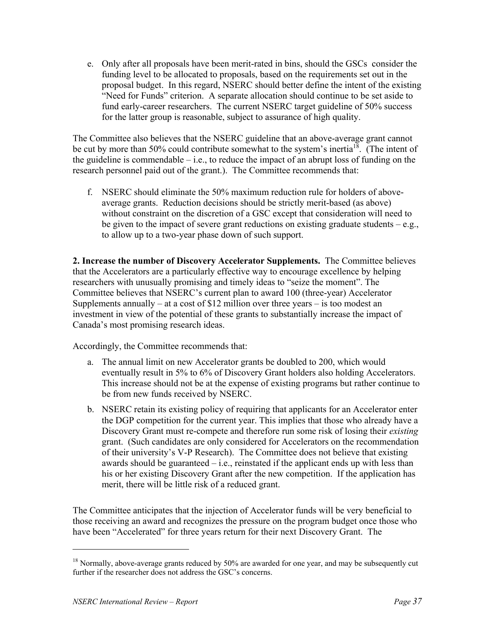e. Only after all proposals have been merit-rated in bins, should the GSCs consider the funding level to be allocated to proposals, based on the requirements set out in the proposal budget. In this regard, NSERC should better define the intent of the existing "Need for Funds" criterion. A separate allocation should continue to be set aside to fund early-career researchers. The current NSERC target guideline of 50% success for the latter group is reasonable, subject to assurance of high quality.

The Committee also believes that the NSERC guideline that an above-average grant cannot be cut by more than 50% could contribute somewhat to the system's inertia<sup>18</sup>. (The intent of the guideline is commendable  $-$  i.e., to reduce the impact of an abrupt loss of funding on the research personnel paid out of the grant.). The Committee recommends that:

f. NSERC should eliminate the 50% maximum reduction rule for holders of aboveaverage grants. Reduction decisions should be strictly merit-based (as above) without constraint on the discretion of a GSC except that consideration will need to be given to the impact of severe grant reductions on existing graduate students  $-e.g.,$ to allow up to a two-year phase down of such support.

**2. Increase the number of Discovery Accelerator Supplements.** The Committee believes that the Accelerators are a particularly effective way to encourage excellence by helping researchers with unusually promising and timely ideas to "seize the moment". The Committee believes that NSERC's current plan to award 100 (three-year) Accelerator Supplements annually – at a cost of \$12 million over three years – is too modest an investment in view of the potential of these grants to substantially increase the impact of Canada's most promising research ideas.

Accordingly, the Committee recommends that:

- a. The annual limit on new Accelerator grants be doubled to 200, which would eventually result in 5% to 6% of Discovery Grant holders also holding Accelerators. This increase should not be at the expense of existing programs but rather continue to be from new funds received by NSERC.
- b. NSERC retain its existing policy of requiring that applicants for an Accelerator enter the DGP competition for the current year. This implies that those who already have a Discovery Grant must re-compete and therefore run some risk of losing their *existing*  grant. (Such candidates are only considered for Accelerators on the recommendation of their university's V-P Research). The Committee does not believe that existing awards should be guaranteed  $-i.e.,$  reinstated if the applicant ends up with less than his or her existing Discovery Grant after the new competition. If the application has merit, there will be little risk of a reduced grant.

The Committee anticipates that the injection of Accelerator funds will be very beneficial to those receiving an award and recognizes the pressure on the program budget once those who have been "Accelerated" for three years return for their next Discovery Grant. The

<sup>&</sup>lt;sup>18</sup> Normally, above-average grants reduced by 50% are awarded for one year, and may be subsequently cut further if the researcher does not address the GSC's concerns.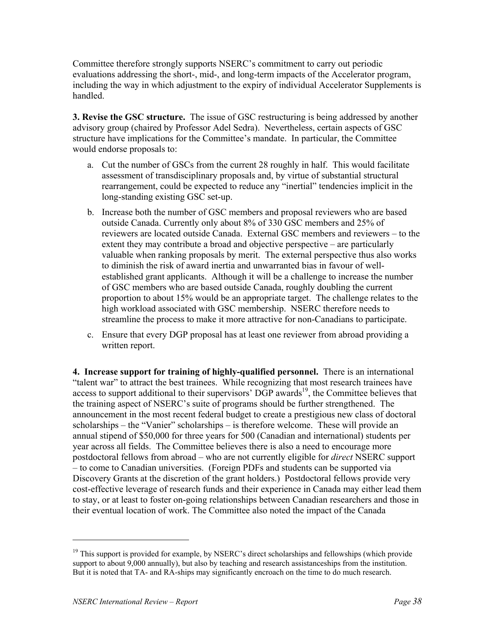Committee therefore strongly supports NSERC's commitment to carry out periodic evaluations addressing the short-, mid-, and long-term impacts of the Accelerator program, including the way in which adjustment to the expiry of individual Accelerator Supplements is handled.

**3. Revise the GSC structure.** The issue of GSC restructuring is being addressed by another advisory group (chaired by Professor Adel Sedra). Nevertheless, certain aspects of GSC structure have implications for the Committee's mandate. In particular, the Committee would endorse proposals to:

- a. Cut the number of GSCs from the current 28 roughly in half. This would facilitate assessment of transdisciplinary proposals and, by virtue of substantial structural rearrangement, could be expected to reduce any "inertial" tendencies implicit in the long-standing existing GSC set-up.
- b. Increase both the number of GSC members and proposal reviewers who are based outside Canada. Currently only about 8% of 330 GSC members and 25% of reviewers are located outside Canada. External GSC members and reviewers – to the extent they may contribute a broad and objective perspective – are particularly valuable when ranking proposals by merit. The external perspective thus also works to diminish the risk of award inertia and unwarranted bias in favour of wellestablished grant applicants. Although it will be a challenge to increase the number of GSC members who are based outside Canada, roughly doubling the current proportion to about 15% would be an appropriate target. The challenge relates to the high workload associated with GSC membership. NSERC therefore needs to streamline the process to make it more attractive for non-Canadians to participate.
- c. Ensure that every DGP proposal has at least one reviewer from abroad providing a written report.

**4. Increase support for training of highly-qualified personnel.** There is an international "talent war" to attract the best trainees. While recognizing that most research trainees have access to support additional to their supervisors'  $\overrightarrow{DGP}$  awards<sup>19</sup>, the Committee believes that the training aspect of NSERC's suite of programs should be further strengthened. The announcement in the most recent federal budget to create a prestigious new class of doctoral scholarships – the "Vanier" scholarships – is therefore welcome. These will provide an annual stipend of \$50,000 for three years for 500 (Canadian and international) students per year across all fields. The Committee believes there is also a need to encourage more postdoctoral fellows from abroad – who are not currently eligible for *direct* NSERC support – to come to Canadian universities. (Foreign PDFs and students can be supported via Discovery Grants at the discretion of the grant holders.) Postdoctoral fellows provide very cost-effective leverage of research funds and their experience in Canada may either lead them to stay, or at least to foster on-going relationships between Canadian researchers and those in their eventual location of work. The Committee also noted the impact of the Canada

-

 $19$  This support is provided for example, by NSERC's direct scholarships and fellowships (which provide support to about 9,000 annually), but also by teaching and research assistanceships from the institution. But it is noted that TA- and RA-ships may significantly encroach on the time to do much research.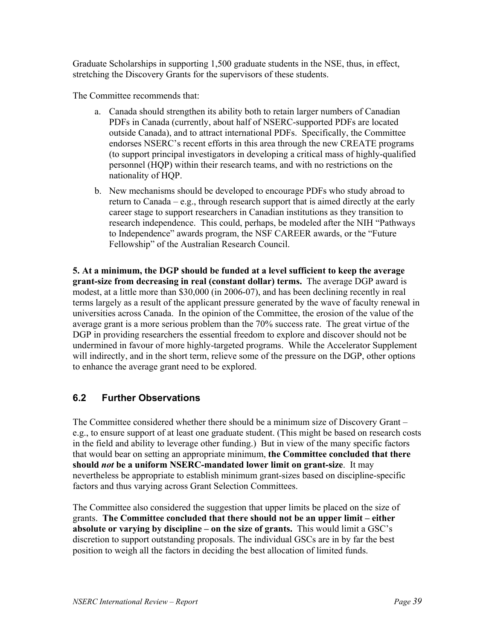Graduate Scholarships in supporting 1,500 graduate students in the NSE, thus, in effect, stretching the Discovery Grants for the supervisors of these students.

The Committee recommends that:

- a. Canada should strengthen its ability both to retain larger numbers of Canadian PDFs in Canada (currently, about half of NSERC-supported PDFs are located outside Canada), and to attract international PDFs. Specifically, the Committee endorses NSERC's recent efforts in this area through the new CREATE programs (to support principal investigators in developing a critical mass of highly-qualified personnel (HQP) within their research teams, and with no restrictions on the nationality of HQP.
- b. New mechanisms should be developed to encourage PDFs who study abroad to return to Canada – e.g., through research support that is aimed directly at the early career stage to support researchers in Canadian institutions as they transition to research independence. This could, perhaps, be modeled after the NIH "Pathways to Independence" awards program, the NSF CAREER awards, or the "Future Fellowship" of the Australian Research Council.

**5. At a minimum, the DGP should be funded at a level sufficient to keep the average grant-size from decreasing in real (constant dollar) terms.** The average DGP award is modest, at a little more than \$30,000 (in 2006-07), and has been declining recently in real terms largely as a result of the applicant pressure generated by the wave of faculty renewal in universities across Canada. In the opinion of the Committee, the erosion of the value of the average grant is a more serious problem than the 70% success rate. The great virtue of the DGP in providing researchers the essential freedom to explore and discover should not be undermined in favour of more highly-targeted programs. While the Accelerator Supplement will indirectly, and in the short term, relieve some of the pressure on the DGP, other options to enhance the average grant need to be explored.

## **6.2 Further Observations**

The Committee considered whether there should be a minimum size of Discovery Grant – e.g., to ensure support of at least one graduate student. (This might be based on research costs in the field and ability to leverage other funding.) But in view of the many specific factors that would bear on setting an appropriate minimum, **the Committee concluded that there should** *not* **be a uniform NSERC-mandated lower limit on grant-size**. It may nevertheless be appropriate to establish minimum grant-sizes based on discipline-specific factors and thus varying across Grant Selection Committees.

The Committee also considered the suggestion that upper limits be placed on the size of grants. **The Committee concluded that there should not be an upper limit – either absolute or varying by discipline – on the size of grants.** This would limit a GSC's discretion to support outstanding proposals. The individual GSCs are in by far the best position to weigh all the factors in deciding the best allocation of limited funds.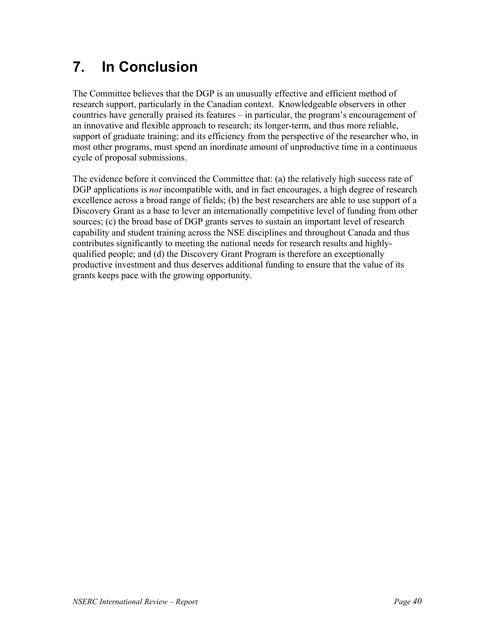# **7. In Conclusion**

The Committee believes that the DGP is an unusually effective and efficient method of research support, particularly in the Canadian context. Knowledgeable observers in other countries have generally praised its features – in particular, the program's encouragement of an innovative and flexible approach to research; its longer-term, and thus more reliable, support of graduate training; and its efficiency from the perspective of the researcher who, in most other programs, must spend an inordinate amount of unproductive time in a continuous cycle of proposal submissions.

The evidence before it convinced the Committee that: (a) the relatively high success rate of DGP applications is *not* incompatible with, and in fact encourages, a high degree of research excellence across a broad range of fields; (b) the best researchers are able to use support of a Discovery Grant as a base to lever an internationally competitive level of funding from other sources; (c) the broad base of DGP grants serves to sustain an important level of research capability and student training across the NSE disciplines and throughout Canada and thus contributes significantly to meeting the national needs for research results and highlyqualified people; and (d) the Discovery Grant Program is therefore an exceptionally productive investment and thus deserves additional funding to ensure that the value of its grants keeps pace with the growing opportunity.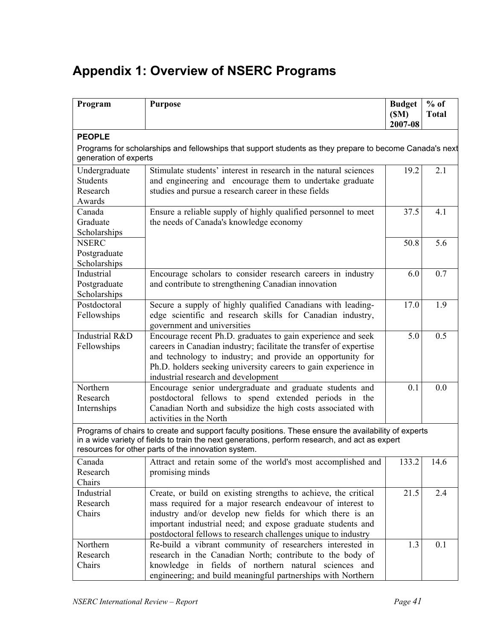# **Appendix 1: Overview of NSERC Programs**

| Program                                                | <b>Purpose</b>                                                                                                                                                                                                                                                                                                              | <b>Budget</b><br>(SM)<br>2007-08 | $%$ of<br><b>Total</b> |
|--------------------------------------------------------|-----------------------------------------------------------------------------------------------------------------------------------------------------------------------------------------------------------------------------------------------------------------------------------------------------------------------------|----------------------------------|------------------------|
| <b>PEOPLE</b>                                          |                                                                                                                                                                                                                                                                                                                             |                                  |                        |
| generation of experts                                  | Programs for scholarships and fellowships that support students as they prepare to become Canada's next                                                                                                                                                                                                                     |                                  |                        |
| Undergraduate<br><b>Students</b><br>Research<br>Awards | Stimulate students' interest in research in the natural sciences<br>and engineering and encourage them to undertake graduate<br>studies and pursue a research career in these fields                                                                                                                                        | 19.2                             | 2.1                    |
| Canada<br>Graduate<br>Scholarships                     | Ensure a reliable supply of highly qualified personnel to meet<br>the needs of Canada's knowledge economy                                                                                                                                                                                                                   | 37.5                             | 4.1                    |
| <b>NSERC</b><br>Postgraduate<br>Scholarships           |                                                                                                                                                                                                                                                                                                                             | 50.8                             | 5.6                    |
| Industrial<br>Postgraduate<br>Scholarships             | Encourage scholars to consider research careers in industry<br>and contribute to strengthening Canadian innovation                                                                                                                                                                                                          | 6.0                              | 0.7                    |
| Postdoctoral<br>Fellowships                            | Secure a supply of highly qualified Canadians with leading-<br>edge scientific and research skills for Canadian industry,<br>government and universities                                                                                                                                                                    | 17.0                             | 1.9                    |
| Industrial R&D<br>Fellowships                          | Encourage recent Ph.D. graduates to gain experience and seek<br>careers in Canadian industry; facilitate the transfer of expertise<br>and technology to industry; and provide an opportunity for<br>Ph.D. holders seeking university careers to gain experience in<br>industrial research and development                   | 5.0                              | 0.5                    |
| Northern<br>Research<br>Internships                    | Encourage senior undergraduate and graduate students and<br>postdoctoral fellows to spend extended periods in the<br>Canadian North and subsidize the high costs associated with<br>activities in the North                                                                                                                 | 0.1                              | 0.0                    |
|                                                        | Programs of chairs to create and support faculty positions. These ensure the availability of experts<br>in a wide variety of fields to train the next generations, perform research, and act as expert<br>resources for other parts of the innovation system.                                                               |                                  |                        |
| Canada<br>Research<br>Chairs                           | Attract and retain some of the world's most accomplished and<br>promising minds                                                                                                                                                                                                                                             | 133.2                            | 14.6                   |
| Industrial<br>Research<br>Chairs                       | Create, or build on existing strengths to achieve, the critical<br>mass required for a major research endeavour of interest to<br>industry and/or develop new fields for which there is an<br>important industrial need; and expose graduate students and<br>postdoctoral fellows to research challenges unique to industry | 21.5                             | 2.4                    |
| Northern<br>Research<br>Chairs                         | Re-build a vibrant community of researchers interested in<br>research in the Canadian North; contribute to the body of<br>knowledge in fields of northern natural sciences and<br>engineering; and build meaningful partnerships with Northern                                                                              | 1.3                              | 0.1                    |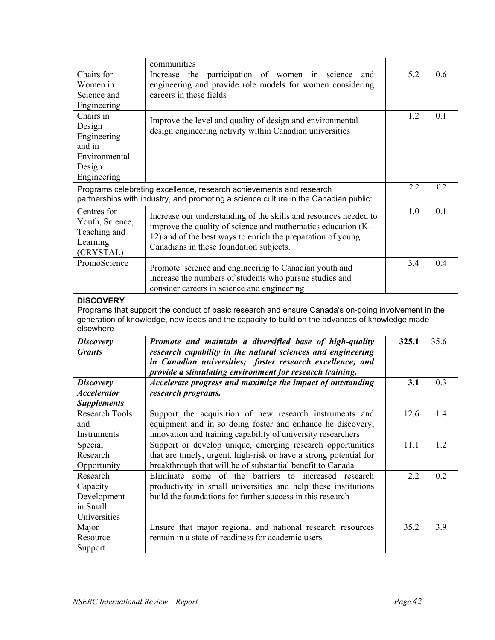|                         | communities                                                                                                                  |       |      |
|-------------------------|------------------------------------------------------------------------------------------------------------------------------|-------|------|
| Chairs for              | participation of women in science<br>Increase the<br>and                                                                     | 5.2   | 0.6  |
| Women in                | engineering and provide role models for women considering                                                                    |       |      |
| Science and             | careers in these fields                                                                                                      |       |      |
| Engineering             |                                                                                                                              |       |      |
| Chairs in               | Improve the level and quality of design and environmental                                                                    | 1.2   | 0.1  |
| Design                  | design engineering activity within Canadian universities                                                                     |       |      |
| Engineering             |                                                                                                                              |       |      |
| and in                  |                                                                                                                              |       |      |
| Environmental           |                                                                                                                              |       |      |
| Design                  |                                                                                                                              |       |      |
| Engineering             |                                                                                                                              |       |      |
|                         | Programs celebrating excellence, research achievements and research                                                          | 2.2   | 0.2  |
|                         | partnerships with industry, and promoting a science culture in the Canadian public:                                          |       |      |
| Centres for             | Increase our understanding of the skills and resources needed to                                                             | 1.0   | 0.1  |
| Youth, Science,         | improve the quality of science and mathematics education (K-                                                                 |       |      |
| Teaching and            | 12) and of the best ways to enrich the preparation of young                                                                  |       |      |
| Learning                | Canadians in these foundation subjects.                                                                                      |       |      |
| (CRYSTAL)               |                                                                                                                              |       |      |
| PromoScience            | Promote science and engineering to Canadian youth and                                                                        | 3.4   | 0.4  |
|                         | increase the numbers of students who pursue studies and                                                                      |       |      |
|                         | consider careers in science and engineering                                                                                  |       |      |
| <b>DISCOVERY</b>        |                                                                                                                              |       |      |
|                         |                                                                                                                              |       |      |
|                         | Programs that support the conduct of basic research and ensure Canada's on-going involvement in the                          |       |      |
|                         | generation of knowledge, new ideas and the capacity to build on the advances of knowledge made                               |       |      |
| elsewhere               |                                                                                                                              |       |      |
| <b>Discovery</b>        | Promote and maintain a diversified base of high-quality                                                                      | 325.1 | 35.6 |
| <b>Grants</b>           | research capability in the natural sciences and engineering                                                                  |       |      |
|                         | in Canadian universities; foster research excellence; and                                                                    |       |      |
|                         | provide a stimulating environment for research training.                                                                     |       |      |
| <b>Discovery</b>        | Accelerate progress and maximize the impact of outstanding                                                                   | 3.1   | 0.3  |
| <b>Accelerator</b>      | research programs.                                                                                                           |       |      |
| <b>Supplements</b>      |                                                                                                                              |       |      |
| <b>Research Tools</b>   | Support the acquisition of new research instruments and                                                                      | 12.6  | 1.4  |
| and                     | equipment and in so doing foster and enhance he discovery,                                                                   |       |      |
| Instruments             | innovation and training capability of university researchers                                                                 |       |      |
| Special                 | Support or develop unique, emerging research opportunities                                                                   | 11.1  | 1.2  |
| Research                | that are timely, urgent, high-risk or have a strong potential for                                                            |       |      |
| Opportunity             | breakthrough that will be of substantial benefit to Canada                                                                   |       |      |
| Research                | Eliminate some of the barriers to increased research                                                                         | 2.2   | 0.2  |
| Capacity                | productivity in small universities and help these institutions<br>build the foundations for further success in this research |       |      |
| Development<br>in Small |                                                                                                                              |       |      |
| Universities            |                                                                                                                              |       |      |
| Major                   | Ensure that major regional and national research resources                                                                   | 35.2  | 3.9  |
| Resource                | remain in a state of readiness for academic users                                                                            |       |      |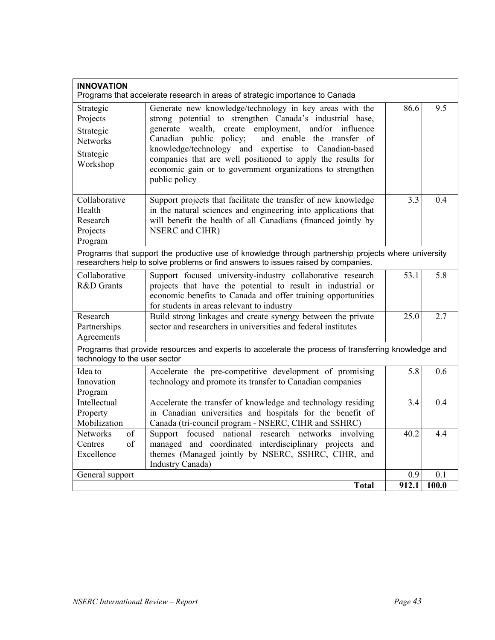| <b>INNOVATION</b><br>Programs that accelerate research in areas of strategic importance to Canada |                                                                                                                                                                                                                                                                                                                                                                                                                                            |                  |     |  |
|---------------------------------------------------------------------------------------------------|--------------------------------------------------------------------------------------------------------------------------------------------------------------------------------------------------------------------------------------------------------------------------------------------------------------------------------------------------------------------------------------------------------------------------------------------|------------------|-----|--|
| Strategic<br>Projects<br>Strategic<br><b>Networks</b><br>Strategic<br>Workshop                    | Generate new knowledge/technology in key areas with the<br>strong potential to strengthen Canada's industrial base,<br>generate wealth, create employment, and/or influence<br>and enable the transfer of<br>Canadian public policy;<br>knowledge/technology and expertise to Canadian-based<br>companies that are well positioned to apply the results for<br>economic gain or to government organizations to strengthen<br>public policy | 86.6             | 9.5 |  |
| Collaborative<br>Health<br>Research<br>Projects<br>Program                                        | Support projects that facilitate the transfer of new knowledge<br>in the natural sciences and engineering into applications that<br>will benefit the health of all Canadians (financed jointly by<br>NSERC and CIHR)                                                                                                                                                                                                                       | $\overline{3.3}$ | 0.4 |  |
|                                                                                                   | Programs that support the productive use of knowledge through partnership projects where university<br>researchers help to solve problems or find answers to issues raised by companies.                                                                                                                                                                                                                                                   |                  |     |  |
| Collaborative<br>R&D Grants                                                                       | Support focused university-industry collaborative research<br>projects that have the potential to result in industrial or<br>economic benefits to Canada and offer training opportunities<br>for students in areas relevant to industry                                                                                                                                                                                                    | 53.1             | 5.8 |  |
| Research<br>Partnerships<br>Agreements                                                            | Build strong linkages and create synergy between the private<br>sector and researchers in universities and federal institutes                                                                                                                                                                                                                                                                                                              | 25.0             | 2.7 |  |
| technology to the user sector                                                                     | Programs that provide resources and experts to accelerate the process of transferring knowledge and                                                                                                                                                                                                                                                                                                                                        |                  |     |  |
| Idea to<br>Innovation<br>Program                                                                  | Accelerate the pre-competitive development of promising<br>technology and promote its transfer to Canadian companies                                                                                                                                                                                                                                                                                                                       | 5.8              | 0.6 |  |
| Intellectual<br>Property<br>Mobilization                                                          | Accelerate the transfer of knowledge and technology residing<br>in Canadian universities and hospitals for the benefit of<br>Canada (tri-council program - NSERC, CIHR and SSHRC)                                                                                                                                                                                                                                                          | 3.4              | 0.4 |  |
| <b>Networks</b><br>of<br>of<br>Centres<br>Excellence                                              | Support focused national research networks involving<br>managed and coordinated interdisciplinary projects and<br>themes (Managed jointly by NSERC, SSHRC, CIHR, and<br>Industry Canada)                                                                                                                                                                                                                                                   | 40.2             | 4.4 |  |
| General support<br>0.9<br>0.1<br>912.1<br><b>Total</b><br>100.0                                   |                                                                                                                                                                                                                                                                                                                                                                                                                                            |                  |     |  |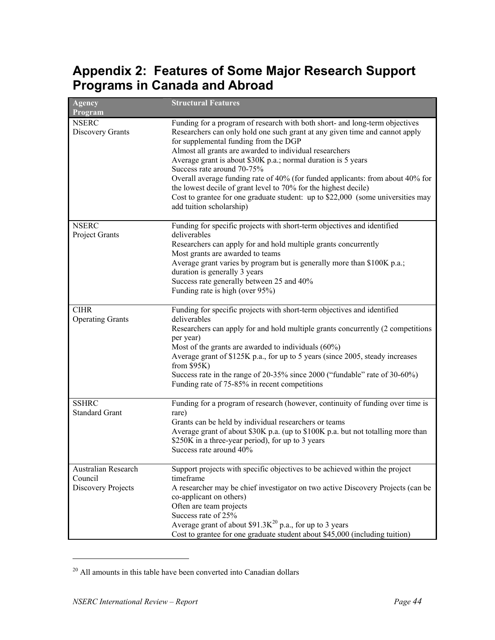# **Appendix 2: Features of Some Major Research Support Programs in Canada and Abroad**

| <b>Agency</b><br>Program                             | <b>Structural Features</b>                                                                                                                                                                                                                                                                                                                                                                                                                                                                                                                                                                                                        |
|------------------------------------------------------|-----------------------------------------------------------------------------------------------------------------------------------------------------------------------------------------------------------------------------------------------------------------------------------------------------------------------------------------------------------------------------------------------------------------------------------------------------------------------------------------------------------------------------------------------------------------------------------------------------------------------------------|
| <b>NSERC</b><br>Discovery Grants                     | Funding for a program of research with both short- and long-term objectives<br>Researchers can only hold one such grant at any given time and cannot apply<br>for supplemental funding from the DGP<br>Almost all grants are awarded to individual researchers<br>Average grant is about \$30K p.a.; normal duration is 5 years<br>Success rate around 70-75%<br>Overall average funding rate of 40% (for funded applicants: from about 40% for<br>the lowest decile of grant level to 70% for the highest decile)<br>Cost to grantee for one graduate student: up to \$22,000 (some universities may<br>add tuition scholarship) |
| <b>NSERC</b><br>Project Grants                       | Funding for specific projects with short-term objectives and identified<br>deliverables<br>Researchers can apply for and hold multiple grants concurrently<br>Most grants are awarded to teams<br>Average grant varies by program but is generally more than \$100K p.a.;<br>duration is generally 3 years<br>Success rate generally between 25 and 40%<br>Funding rate is high (over 95%)                                                                                                                                                                                                                                        |
| <b>CIHR</b><br><b>Operating Grants</b>               | Funding for specific projects with short-term objectives and identified<br>deliverables<br>Researchers can apply for and hold multiple grants concurrently (2 competitions<br>per year)<br>Most of the grants are awarded to individuals $(60\%)$<br>Average grant of \$125K p.a., for up to 5 years (since 2005, steady increases<br>from $$95K)$<br>Success rate in the range of 20-35% since 2000 ("fundable" rate of 30-60%)<br>Funding rate of 75-85% in recent competitions                                                                                                                                                 |
| <b>SSHRC</b><br><b>Standard Grant</b>                | Funding for a program of research (however, continuity of funding over time is<br>rare)<br>Grants can be held by individual researchers or teams<br>Average grant of about \$30K p.a. (up to \$100K p.a. but not totalling more than<br>\$250K in a three-year period), for up to 3 years<br>Success rate around 40%                                                                                                                                                                                                                                                                                                              |
| Australian Research<br>Council<br>Discovery Projects | Support projects with specific objectives to be achieved within the project<br>timeframe<br>A researcher may be chief investigator on two active Discovery Projects (can be<br>co-applicant on others)<br>Often are team projects<br>Success rate of 25%<br>Average grant of about \$91.3 $K^{20}$ p.a., for up to 3 years<br>Cost to grantee for one graduate student about \$45,000 (including tuition)                                                                                                                                                                                                                         |

 $20$  All amounts in this table have been converted into Canadian dollars